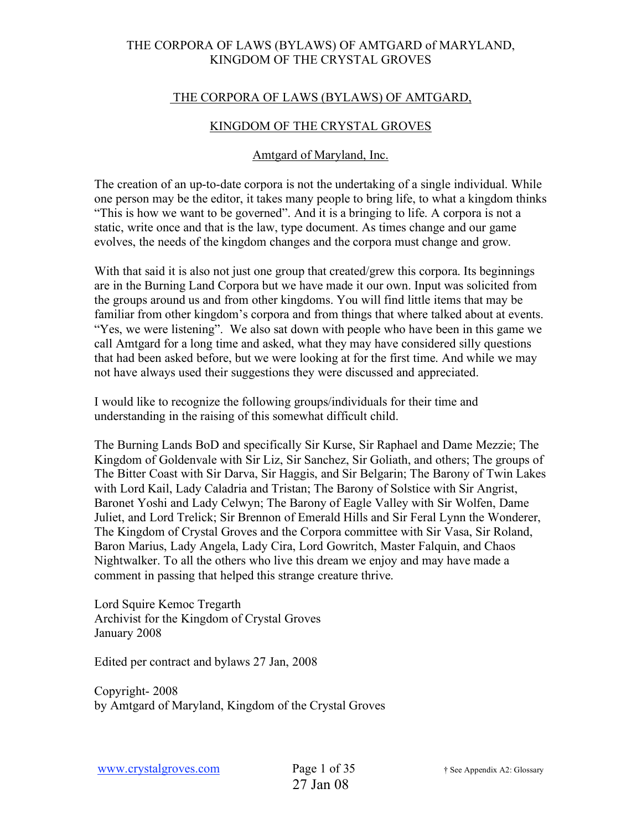## THE CORPORA OF LAWS (BYLAWS) OF AMTGARD,

#### KINGDOM OF THE CRYSTAL GROVES

#### Amtgard of Maryland, Inc.

The creation of an up-to-date corpora is not the undertaking of a single individual. While one person may be the editor, it takes many people to bring life, to what a kingdom thinks "This is how we want to be governed". And it is a bringing to life. A corpora is not a static, write once and that is the law, type document. As times change and our game evolves, the needs of the kingdom changes and the corpora must change and grow.

With that said it is also not just one group that created/grew this corpora. Its beginnings are in the Burning Land Corpora but we have made it our own. Input was solicited from the groups around us and from other kingdoms. You will find little items that may be familiar from other kingdom's corpora and from things that where talked about at events. "Yes, we were listening". We also sat down with people who have been in this game we call Amtgard for a long time and asked, what they may have considered silly questions that had been asked before, but we were looking at for the first time. And while we may not have always used their suggestions they were discussed and appreciated.

I would like to recognize the following groups/individuals for their time and understanding in the raising of this somewhat difficult child.

The Burning Lands BoD and specifically Sir Kurse, Sir Raphael and Dame Mezzie; The Kingdom of Goldenvale with Sir Liz, Sir Sanchez, Sir Goliath, and others; The groups of The Bitter Coast with Sir Darva, Sir Haggis, and Sir Belgarin; The Barony of Twin Lakes with Lord Kail, Lady Caladria and Tristan; The Barony of Solstice with Sir Angrist, Baronet Yoshi and Lady Celwyn; The Barony of Eagle Valley with Sir Wolfen, Dame Juliet, and Lord Trelick; Sir Brennon of Emerald Hills and Sir Feral Lynn the Wonderer, The Kingdom of Crystal Groves and the Corpora committee with Sir Vasa, Sir Roland, Baron Marius, Lady Angela, Lady Cira, Lord Gowritch, Master Falquin, and Chaos Nightwalker. To all the others who live this dream we enjoy and may have made a comment in passing that helped this strange creature thrive.

Lord Squire Kemoc Tregarth Archivist for the Kingdom of Crystal Groves January 2008

Edited per contract and bylaws 27 Jan, 2008

Copyright- 2008 by Amtgard of Maryland, Kingdom of the Crystal Groves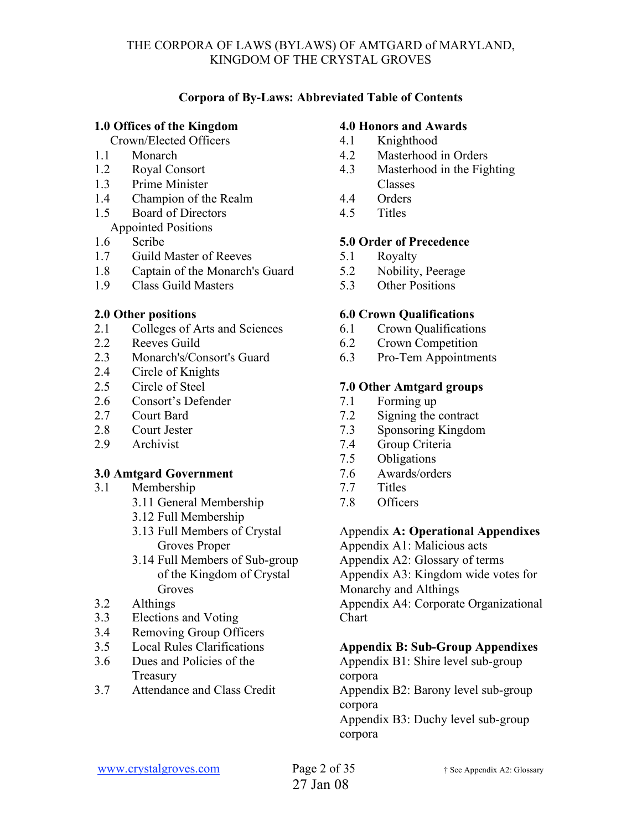## **Corpora of By-Laws: Abbreviated Table of Contents**

### **1.0 Offices of the Kingdom**

Crown/Elected Officers

- 1.1 Monarch
- 1.2 Royal Consort
- 1.3 Prime Minister
- 1.4 Champion of the Realm
- 1.5 Board of Directors
- Appointed Positions
- 1.6 Scribe
- 1.7 Guild Master of Reeves
- 1.8 Captain of the Monarch's Guard
- 1.9 Class Guild Masters

## **2.0 Other positions**

- 2.1 Colleges of Arts and Sciences
- 2.2 Reeves Guild
- 2.3 Monarch's/Consort's Guard
- 2.4 Circle of Knights
- 2.5 Circle of Steel
- 2.6 Consort's Defender
- 2.7 Court Bard
- 2.8 Court Jester
- 2.9 Archivist

## **3.0 Amtgard Government**

- 3.1 Membership
	- 3.11 General Membership
	- 3.12 Full Membership
	- 3.13 Full Members of Crystal Groves Proper
	- 3.14 Full Members of Sub-group of the Kingdom of Crystal Groves
- 3.2 Althings
- 3.3 Elections and Voting
- 3.4 Removing Group Officers
- 3.5 Local Rules Clarifications
- 3.6 Dues and Policies of the **Treasury**
- 3.7 Attendance and Class Credit

## **4.0 Honors and Awards**

- 4.1 Knighthood
- 4.2 Masterhood in Orders
- 4.3 Masterhood in the Fighting Classes
- 4.4 Orders
- 4.5 Titles

## **5.0 Order of Precedence**

- 5.1 Royalty
- 5.2 Nobility, Peerage
- 5.3 Other Positions

## **6.0 Crown Qualifications**

- 6.1 Crown Qualifications
- 6.2 Crown Competition
- 6.3 Pro-Tem Appointments

## **7.0 Other Amtgard groups**

- 7.1 Forming up
- 7.2 Signing the contract
- 7.3 Sponsoring Kingdom
- 7.4 Group Criteria
- 7.5 Obligations
- 7.6 Awards/orders
- 7.7 Titles
- 7.8 Officers

## Appendix **A: Operational Appendixes**

Appendix A1: Malicious acts

Appendix A2: Glossary of terms

Appendix A3: Kingdom wide votes for

Monarchy and Althings

Appendix A4: Corporate Organizational Chart

## **Appendix B: Sub-Group Appendixes**

Appendix B1: Shire level sub-group corpora Appendix B2: Barony level sub-group corpora Appendix B3: Duchy level sub-group corpora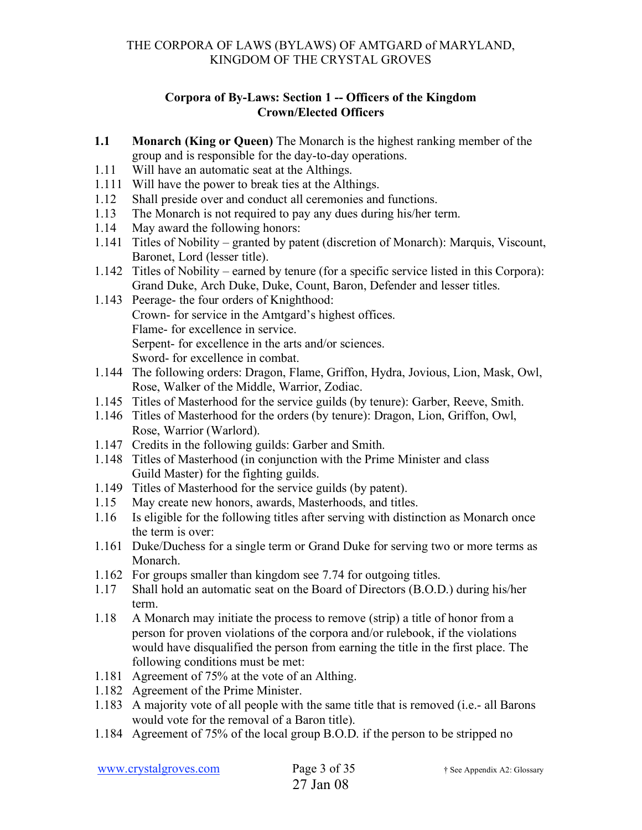## **Corpora of By-Laws: Section 1 -- Officers of the Kingdom Crown/Elected Officers**

- **1.1 Monarch (King or Queen)** The Monarch is the highest ranking member of the group and is responsible for the day-to-day operations.
- 1.11 Will have an automatic seat at the Althings.
- 1.111 Will have the power to break ties at the Althings.
- 1.12 Shall preside over and conduct all ceremonies and functions.
- 1.13 The Monarch is not required to pay any dues during his/her term.
- 1.14 May award the following honors:
- 1.141 Titles of Nobility granted by patent (discretion of Monarch): Marquis, Viscount, Baronet, Lord (lesser title).
- 1.142 Titles of Nobility earned by tenure (for a specific service listed in this Corpora): Grand Duke, Arch Duke, Duke, Count, Baron, Defender and lesser titles.
- 1.143 Peerage- the four orders of Knighthood: Crown- for service in the Amtgard's highest offices. Flame- for excellence in service. Serpent- for excellence in the arts and/or sciences. Sword- for excellence in combat.
- 1.144 The following orders: Dragon, Flame, Griffon, Hydra, Jovious, Lion, Mask, Owl, Rose, Walker of the Middle, Warrior, Zodiac.
- 1.145 Titles of Masterhood for the service guilds (by tenure): Garber, Reeve, Smith.
- 1.146 Titles of Masterhood for the orders (by tenure): Dragon, Lion, Griffon, Owl, Rose, Warrior (Warlord).
- 1.147 Credits in the following guilds: Garber and Smith.
- 1.148 Titles of Masterhood (in conjunction with the Prime Minister and class Guild Master) for the fighting guilds.
- 1.149 Titles of Masterhood for the service guilds (by patent).
- 1.15 May create new honors, awards, Masterhoods, and titles.
- 1.16 Is eligible for the following titles after serving with distinction as Monarch once the term is over:
- 1.161 Duke/Duchess for a single term or Grand Duke for serving two or more terms as Monarch.
- 1.162 For groups smaller than kingdom see 7.74 for outgoing titles.
- 1.17 Shall hold an automatic seat on the Board of Directors (B.O.D.) during his/her term.
- 1.18 A Monarch may initiate the process to remove (strip) a title of honor from a person for proven violations of the corpora and/or rulebook, if the violations would have disqualified the person from earning the title in the first place. The following conditions must be met:
- 1.181 Agreement of 75% at the vote of an Althing.
- 1.182 Agreement of the Prime Minister.
- 1.183 A majority vote of all people with the same title that is removed (i.e.- all Barons would vote for the removal of a Baron title).
- 1.184 Agreement of 75% of the local group B.O.D. if the person to be stripped no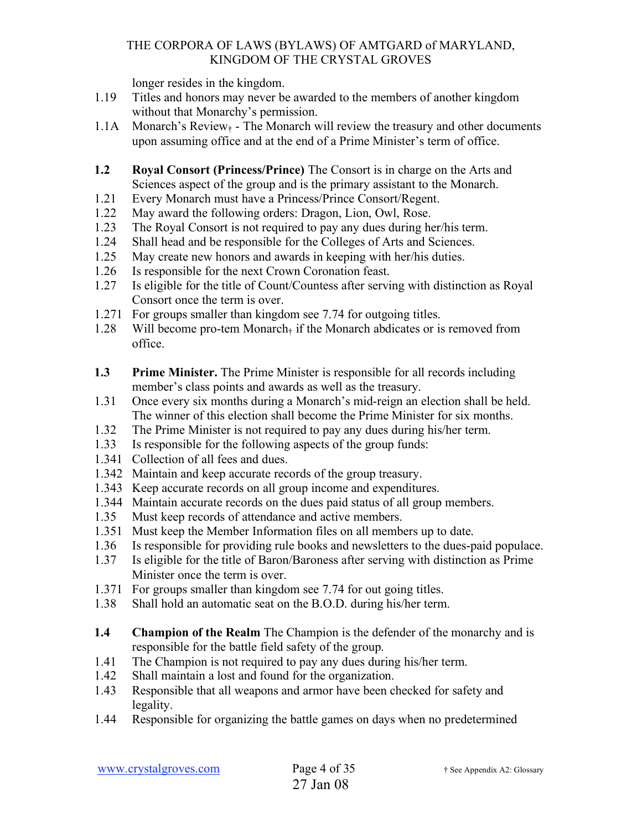longer resides in the kingdom.

- 1.19 Titles and honors may never be awarded to the members of another kingdom without that Monarchy's permission.
- 1.1A Monarch's Review $<sub>†</sub>$  The Monarch will review the treasury and other documents</sub> upon assuming office and at the end of a Prime Minister's term of office.
- **1.2 Royal Consort (Princess/Prince)** The Consort is in charge on the Arts and Sciences aspect of the group and is the primary assistant to the Monarch.
- 1.21 Every Monarch must have a Princess/Prince Consort/Regent.
- 1.22 May award the following orders: Dragon, Lion, Owl, Rose.
- 1.23 The Royal Consort is not required to pay any dues during her/his term.
- 1.24 Shall head and be responsible for the Colleges of Arts and Sciences.
- 1.25 May create new honors and awards in keeping with her/his duties.
- 1.26 Is responsible for the next Crown Coronation feast.
- 1.27 Is eligible for the title of Count/Countess after serving with distinction as Royal Consort once the term is over.
- 1.271 For groups smaller than kingdom see 7.74 for outgoing titles.
- 1.28 Will become pro-tem Monarch $<sub>†</sub>$  if the Monarch abdicates or is removed from</sub> office.
- **1.3 Prime Minister.** The Prime Minister is responsible for all records including member's class points and awards as well as the treasury.
- 1.31 Once every six months during a Monarch's mid-reign an election shall be held. The winner of this election shall become the Prime Minister for six months.
- 1.32 The Prime Minister is not required to pay any dues during his/her term.
- 1.33 Is responsible for the following aspects of the group funds:
- 1.341 Collection of all fees and dues.
- 1.342 Maintain and keep accurate records of the group treasury.
- 1.343 Keep accurate records on all group income and expenditures.
- 1.344 Maintain accurate records on the dues paid status of all group members.
- 1.35 Must keep records of attendance and active members.
- 1.351 Must keep the Member Information files on all members up to date.
- 1.36 Is responsible for providing rule books and newsletters to the dues-paid populace.
- 1.37 Is eligible for the title of Baron/Baroness after serving with distinction as Prime Minister once the term is over.
- 1.371 For groups smaller than kingdom see 7.74 for out going titles.
- 1.38 Shall hold an automatic seat on the B.O.D. during his/her term.
- **1.4** Champion of the Realm The Champion is the defender of the monarchy and is responsible for the battle field safety of the group.
- 1.41 The Champion is not required to pay any dues during his/her term.
- 1.42 Shall maintain a lost and found for the organization.
- 1.43 Responsible that all weapons and armor have been checked for safety and legality.
- 1.44 Responsible for organizing the battle games on days when no predetermined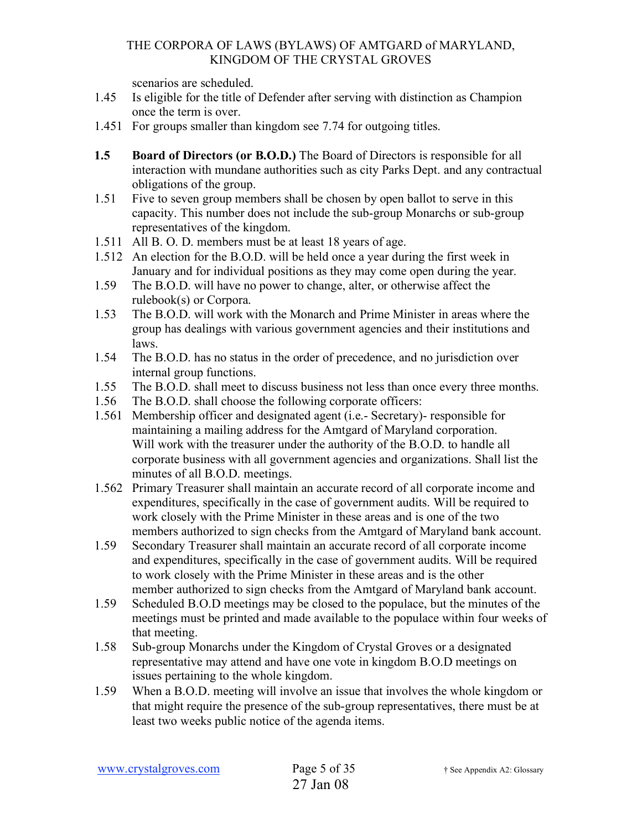scenarios are scheduled.

- 1.45 Is eligible for the title of Defender after serving with distinction as Champion once the term is over.
- 1.451 For groups smaller than kingdom see 7.74 for outgoing titles.
- **1.5 Board of Directors (or B.O.D.)** The Board of Directors is responsible for all interaction with mundane authorities such as city Parks Dept. and any contractual obligations of the group.
- 1.51 Five to seven group members shall be chosen by open ballot to serve in this capacity. This number does not include the sub-group Monarchs or sub-group representatives of the kingdom.
- 1.511 All B. O. D. members must be at least 18 years of age.
- 1.512 An election for the B.O.D. will be held once a year during the first week in January and for individual positions as they may come open during the year.
- 1.59 The B.O.D. will have no power to change, alter, or otherwise affect the rulebook(s) or Corpora.
- 1.53 The B.O.D. will work with the Monarch and Prime Minister in areas where the group has dealings with various government agencies and their institutions and laws.
- 1.54 The B.O.D. has no status in the order of precedence, and no jurisdiction over internal group functions.
- 1.55 The B.O.D. shall meet to discuss business not less than once every three months.
- 1.56 The B.O.D. shall choose the following corporate officers:
- 1.561 Membership officer and designated agent (i.e.- Secretary)- responsible for maintaining a mailing address for the Amtgard of Maryland corporation. Will work with the treasurer under the authority of the B.O.D. to handle all corporate business with all government agencies and organizations. Shall list the minutes of all B.O.D. meetings.
- 1.562 Primary Treasurer shall maintain an accurate record of all corporate income and expenditures, specifically in the case of government audits. Will be required to work closely with the Prime Minister in these areas and is one of the two members authorized to sign checks from the Amtgard of Maryland bank account.
- 1.59 Secondary Treasurer shall maintain an accurate record of all corporate income and expenditures, specifically in the case of government audits. Will be required to work closely with the Prime Minister in these areas and is the other member authorized to sign checks from the Amtgard of Maryland bank account.
- 1.59 Scheduled B.O.D meetings may be closed to the populace, but the minutes of the meetings must be printed and made available to the populace within four weeks of that meeting.
- 1.58 Sub-group Monarchs under the Kingdom of Crystal Groves or a designated representative may attend and have one vote in kingdom B.O.D meetings on issues pertaining to the whole kingdom.
- 1.59 When a B.O.D. meeting will involve an issue that involves the whole kingdom or that might require the presence of the sub-group representatives, there must be at least two weeks public notice of the agenda items.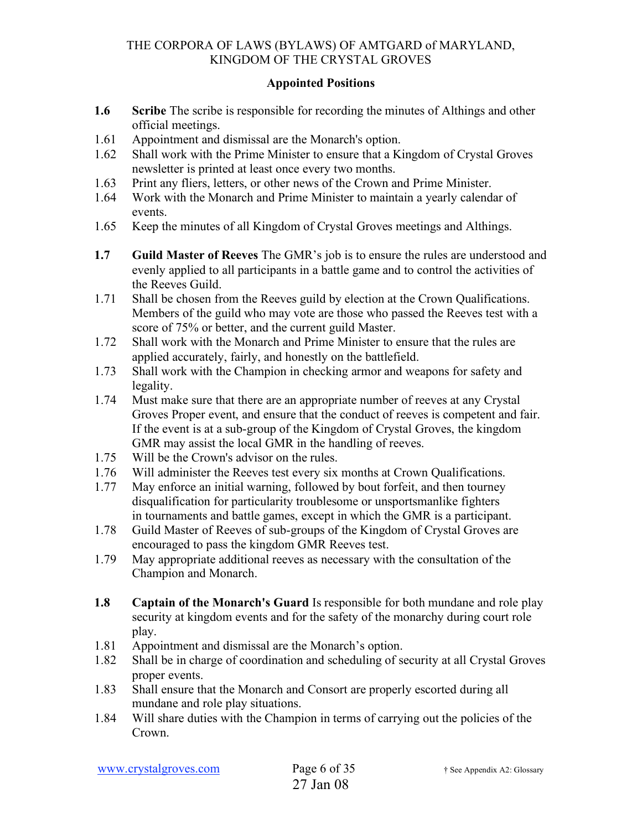## **Appointed Positions**

- **1.6 Scribe** The scribe is responsible for recording the minutes of Althings and other official meetings.
- 1.61 Appointment and dismissal are the Monarch's option.
- 1.62 Shall work with the Prime Minister to ensure that a Kingdom of Crystal Groves newsletter is printed at least once every two months.
- 1.63 Print any fliers, letters, or other news of the Crown and Prime Minister.
- 1.64 Work with the Monarch and Prime Minister to maintain a yearly calendar of events.
- 1.65 Keep the minutes of all Kingdom of Crystal Groves meetings and Althings.
- **1.7 Guild Master of Reeves** The GMR's job is to ensure the rules are understood and evenly applied to all participants in a battle game and to control the activities of the Reeves Guild.
- 1.71 Shall be chosen from the Reeves guild by election at the Crown Qualifications. Members of the guild who may vote are those who passed the Reeves test with a score of 75% or better, and the current guild Master.
- 1.72 Shall work with the Monarch and Prime Minister to ensure that the rules are applied accurately, fairly, and honestly on the battlefield.
- 1.73 Shall work with the Champion in checking armor and weapons for safety and legality.
- 1.74 Must make sure that there are an appropriate number of reeves at any Crystal Groves Proper event, and ensure that the conduct of reeves is competent and fair. If the event is at a sub-group of the Kingdom of Crystal Groves, the kingdom GMR may assist the local GMR in the handling of reeves.
- 1.75 Will be the Crown's advisor on the rules.
- 1.76 Will administer the Reeves test every six months at Crown Qualifications.
- 1.77 May enforce an initial warning, followed by bout forfeit, and then tourney disqualification for particularity troublesome or unsportsmanlike fighters in tournaments and battle games, except in which the GMR is a participant.
- 1.78 Guild Master of Reeves of sub-groups of the Kingdom of Crystal Groves are encouraged to pass the kingdom GMR Reeves test.
- 1.79 May appropriate additional reeves as necessary with the consultation of the Champion and Monarch.
- **1.8 Captain of the Monarch's Guard** Is responsible for both mundane and role play security at kingdom events and for the safety of the monarchy during court role play.
- 1.81 Appointment and dismissal are the Monarch's option.
- 1.82 Shall be in charge of coordination and scheduling of security at all Crystal Groves proper events.
- 1.83 Shall ensure that the Monarch and Consort are properly escorted during all mundane and role play situations.
- 1.84 Will share duties with the Champion in terms of carrying out the policies of the Crown.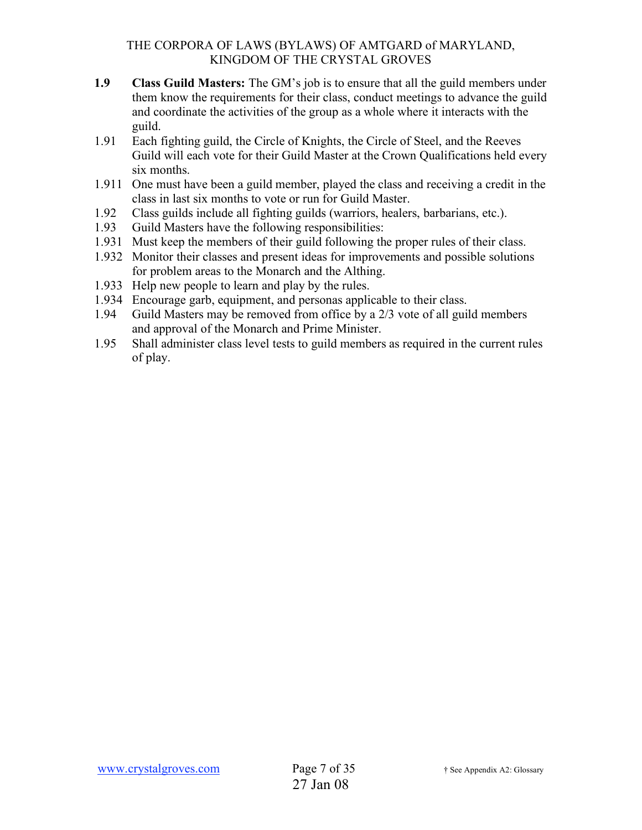- **1.9 Class Guild Masters:** The GM's job is to ensure that all the guild members under them know the requirements for their class, conduct meetings to advance the guild and coordinate the activities of the group as a whole where it interacts with the guild.
- 1.91 Each fighting guild, the Circle of Knights, the Circle of Steel, and the Reeves Guild will each vote for their Guild Master at the Crown Qualifications held every six months.
- 1.911 One must have been a guild member, played the class and receiving a credit in the class in last six months to vote or run for Guild Master.
- 1.92 Class guilds include all fighting guilds (warriors, healers, barbarians, etc.).
- 1.93 Guild Masters have the following responsibilities:
- 1.931 Must keep the members of their guild following the proper rules of their class.
- 1.932 Monitor their classes and present ideas for improvements and possible solutions for problem areas to the Monarch and the Althing.
- 1.933 Help new people to learn and play by the rules.
- 1.934 Encourage garb, equipment, and personas applicable to their class.
- 1.94 Guild Masters may be removed from office by a 2/3 vote of all guild members and approval of the Monarch and Prime Minister.
- 1.95 Shall administer class level tests to guild members as required in the current rules of play.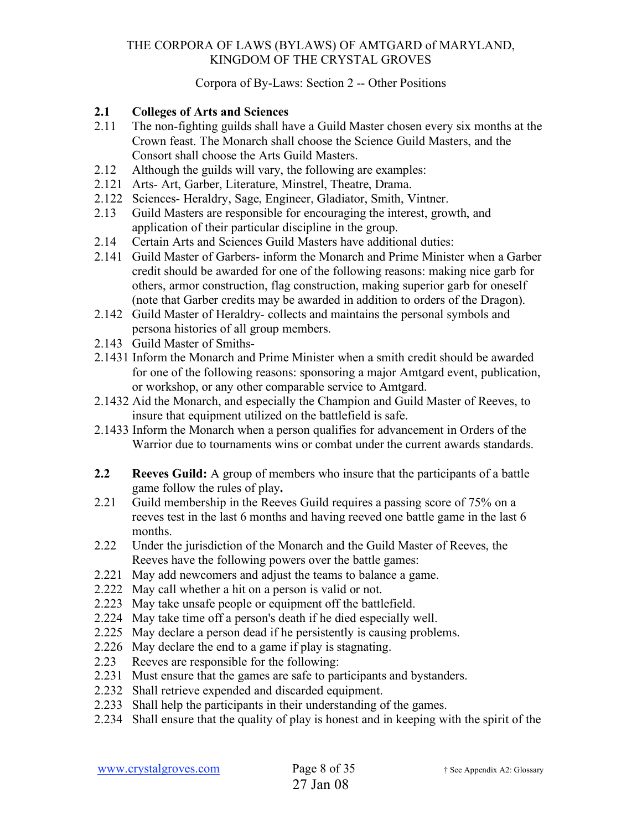### Corpora of By-Laws: Section 2 -- Other Positions

## **2.1 Colleges of Arts and Sciences**

- 2.11 The non-fighting guilds shall have a Guild Master chosen every six months at the Crown feast. The Monarch shall choose the Science Guild Masters, and the Consort shall choose the Arts Guild Masters.
- 2.12 Although the guilds will vary, the following are examples:
- 2.121 Arts- Art, Garber, Literature, Minstrel, Theatre, Drama.
- 2.122 Sciences- Heraldry, Sage, Engineer, Gladiator, Smith, Vintner.
- 2.13 Guild Masters are responsible for encouraging the interest, growth, and application of their particular discipline in the group.
- 2.14 Certain Arts and Sciences Guild Masters have additional duties:
- 2.141 Guild Master of Garbers- inform the Monarch and Prime Minister when a Garber credit should be awarded for one of the following reasons: making nice garb for others, armor construction, flag construction, making superior garb for oneself (note that Garber credits may be awarded in addition to orders of the Dragon).
- 2.142 Guild Master of Heraldry- collects and maintains the personal symbols and persona histories of all group members.
- 2.143 Guild Master of Smiths-
- 2.1431 Inform the Monarch and Prime Minister when a smith credit should be awarded for one of the following reasons: sponsoring a major Amtgard event, publication, or workshop, or any other comparable service to Amtgard.
- 2.1432 Aid the Monarch, and especially the Champion and Guild Master of Reeves, to insure that equipment utilized on the battlefield is safe.
- 2.1433 Inform the Monarch when a person qualifies for advancement in Orders of the Warrior due to tournaments wins or combat under the current awards standards.
- **2.2 Reeves Guild:** A group of members who insure that the participants of a battle game follow the rules of play**.**
- 2.21 Guild membership in the Reeves Guild requires a passing score of 75% on a reeves test in the last 6 months and having reeved one battle game in the last 6 months.
- 2.22 Under the jurisdiction of the Monarch and the Guild Master of Reeves, the Reeves have the following powers over the battle games:
- 2.221 May add newcomers and adjust the teams to balance a game.
- 2.222 May call whether a hit on a person is valid or not.
- 2.223 May take unsafe people or equipment off the battlefield.
- 2.224 May take time off a person's death if he died especially well.
- 2.225 May declare a person dead if he persistently is causing problems.
- 2.226 May declare the end to a game if play is stagnating.
- 2.23 Reeves are responsible for the following:
- 2.231 Must ensure that the games are safe to participants and bystanders.
- 2.232 Shall retrieve expended and discarded equipment.
- 2.233 Shall help the participants in their understanding of the games.
- 2.234 Shall ensure that the quality of play is honest and in keeping with the spirit of the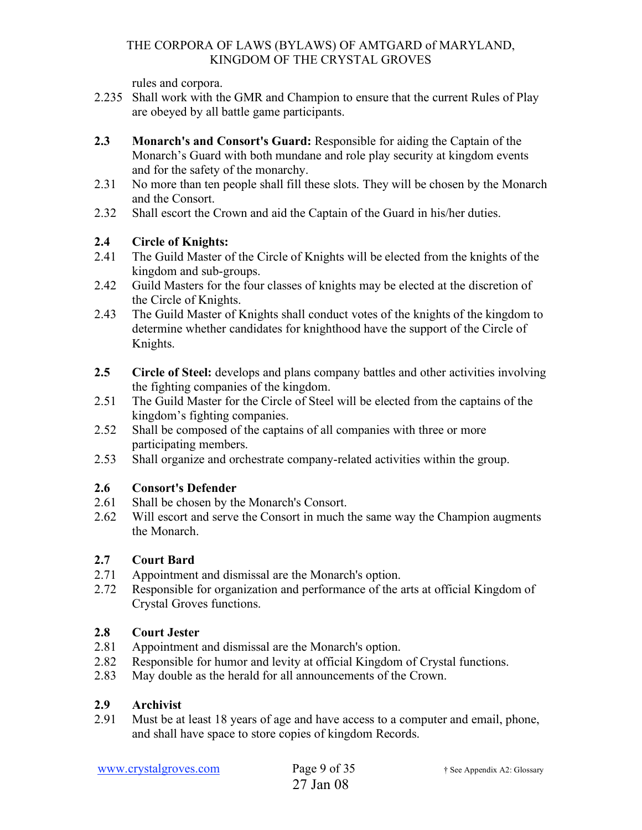rules and corpora.

- 2.235 Shall work with the GMR and Champion to ensure that the current Rules of Play are obeyed by all battle game participants.
- **2.3 Monarch's and Consort's Guard:** Responsible for aiding the Captain of the Monarch's Guard with both mundane and role play security at kingdom events and for the safety of the monarchy.
- 2.31 No more than ten people shall fill these slots. They will be chosen by the Monarch and the Consort.
- 2.32 Shall escort the Crown and aid the Captain of the Guard in his/her duties.

# **2.4 Circle of Knights:**

- 2.41 The Guild Master of the Circle of Knights will be elected from the knights of the kingdom and sub-groups.
- 2.42 Guild Masters for the four classes of knights may be elected at the discretion of the Circle of Knights.
- 2.43 The Guild Master of Knights shall conduct votes of the knights of the kingdom to determine whether candidates for knighthood have the support of the Circle of Knights.
- **2.5 Circle of Steel:** develops and plans company battles and other activities involving the fighting companies of the kingdom.
- 2.51 The Guild Master for the Circle of Steel will be elected from the captains of the kingdom's fighting companies.
- 2.52 Shall be composed of the captains of all companies with three or more participating members.
- 2.53 Shall organize and orchestrate company-related activities within the group.

# **2.6 Consort's Defender**

- 2.61 Shall be chosen by the Monarch's Consort.
- 2.62 Will escort and serve the Consort in much the same way the Champion augments the Monarch.

# **2.7 Court Bard**

- 2.71 Appointment and dismissal are the Monarch's option.
- 2.72 Responsible for organization and performance of the arts at official Kingdom of Crystal Groves functions.

# **2.8 Court Jester**

- 2.81 Appointment and dismissal are the Monarch's option.
- 2.82 Responsible for humor and levity at official Kingdom of Crystal functions.
- 2.83 May double as the herald for all announcements of the Crown.

# **2.9 Archivist**

2.91 Must be at least 18 years of age and have access to a computer and email, phone, and shall have space to store copies of kingdom Records.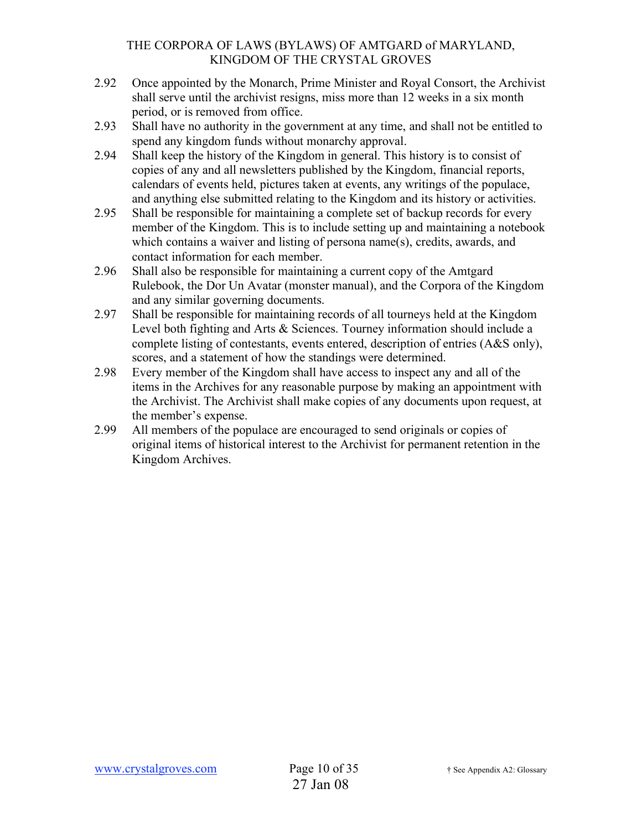- 2.92 Once appointed by the Monarch, Prime Minister and Royal Consort, the Archivist shall serve until the archivist resigns, miss more than 12 weeks in a six month period, or is removed from office.
- 2.93 Shall have no authority in the government at any time, and shall not be entitled to spend any kingdom funds without monarchy approval.
- 2.94 Shall keep the history of the Kingdom in general. This history is to consist of copies of any and all newsletters published by the Kingdom, financial reports, calendars of events held, pictures taken at events, any writings of the populace, and anything else submitted relating to the Kingdom and its history or activities.
- 2.95 Shall be responsible for maintaining a complete set of backup records for every member of the Kingdom. This is to include setting up and maintaining a notebook which contains a waiver and listing of persona name(s), credits, awards, and contact information for each member.
- 2.96 Shall also be responsible for maintaining a current copy of the Amtgard Rulebook, the Dor Un Avatar (monster manual), and the Corpora of the Kingdom and any similar governing documents.
- 2.97 Shall be responsible for maintaining records of all tourneys held at the Kingdom Level both fighting and Arts & Sciences. Tourney information should include a complete listing of contestants, events entered, description of entries (A&S only), scores, and a statement of how the standings were determined.
- 2.98 Every member of the Kingdom shall have access to inspect any and all of the items in the Archives for any reasonable purpose by making an appointment with the Archivist. The Archivist shall make copies of any documents upon request, at the member's expense.
- 2.99 All members of the populace are encouraged to send originals or copies of original items of historical interest to the Archivist for permanent retention in the Kingdom Archives.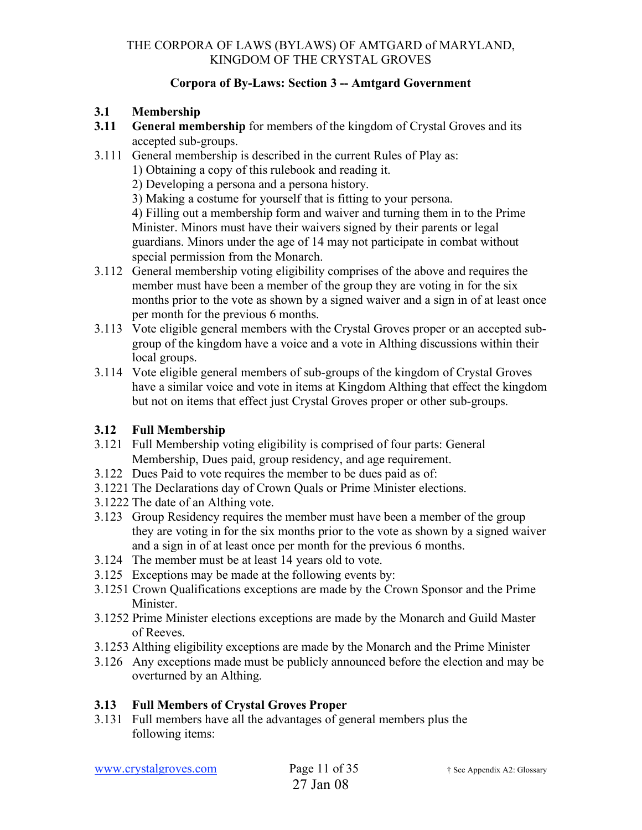## **Corpora of By-Laws: Section 3 -- Amtgard Government**

## **3.1 Membership**

- **3.11 General membership** for members of the kingdom of Crystal Groves and its accepted sub-groups.
- 3.111 General membership is described in the current Rules of Play as:
	- 1) Obtaining a copy of this rulebook and reading it.
		- 2) Developing a persona and a persona history.
		- 3) Making a costume for yourself that is fitting to your persona.

4) Filling out a membership form and waiver and turning them in to the Prime Minister. Minors must have their waivers signed by their parents or legal guardians. Minors under the age of 14 may not participate in combat without special permission from the Monarch.

- 3.112 General membership voting eligibility comprises of the above and requires the member must have been a member of the group they are voting in for the six months prior to the vote as shown by a signed waiver and a sign in of at least once per month for the previous 6 months.
- 3.113 Vote eligible general members with the Crystal Groves proper or an accepted subgroup of the kingdom have a voice and a vote in Althing discussions within their local groups.
- 3.114 Vote eligible general members of sub-groups of the kingdom of Crystal Groves have a similar voice and vote in items at Kingdom Althing that effect the kingdom but not on items that effect just Crystal Groves proper or other sub-groups.

## **3.12 Full Membership**

- 3.121 Full Membership voting eligibility is comprised of four parts: General Membership, Dues paid, group residency, and age requirement.
- 3.122 Dues Paid to vote requires the member to be dues paid as of:
- 3.1221 The Declarations day of Crown Quals or Prime Minister elections.
- 3.1222 The date of an Althing vote.
- 3.123 Group Residency requires the member must have been a member of the group they are voting in for the six months prior to the vote as shown by a signed waiver and a sign in of at least once per month for the previous 6 months.
- 3.124 The member must be at least 14 years old to vote.
- 3.125 Exceptions may be made at the following events by:
- 3.1251 Crown Qualifications exceptions are made by the Crown Sponsor and the Prime Minister.
- 3.1252 Prime Minister elections exceptions are made by the Monarch and Guild Master of Reeves.
- 3.1253 Althing eligibility exceptions are made by the Monarch and the Prime Minister
- 3.126 Any exceptions made must be publicly announced before the election and may be overturned by an Althing.

## **3.13 Full Members of Crystal Groves Proper**

3.131 Full members have all the advantages of general members plus the following items: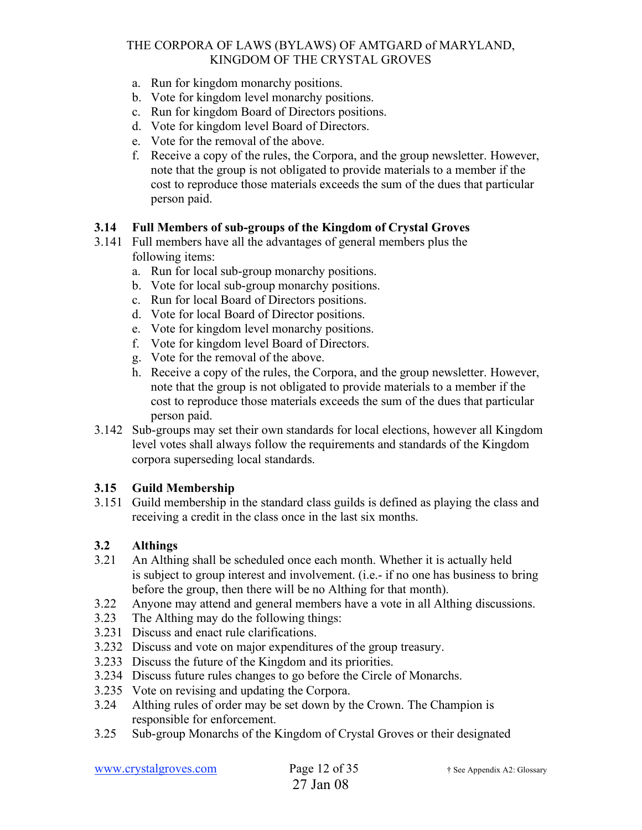- a. Run for kingdom monarchy positions.
- b. Vote for kingdom level monarchy positions.
- c. Run for kingdom Board of Directors positions.
- d. Vote for kingdom level Board of Directors.
- e. Vote for the removal of the above.
- f. Receive a copy of the rules, the Corpora, and the group newsletter. However, note that the group is not obligated to provide materials to a member if the cost to reproduce those materials exceeds the sum of the dues that particular person paid.

### **3.14 Full Members of sub-groups of the Kingdom of Crystal Groves**

- 3.141 Full members have all the advantages of general members plus the following items:
	- a. Run for local sub-group monarchy positions.
	- b. Vote for local sub-group monarchy positions.
	- c. Run for local Board of Directors positions.
	- d. Vote for local Board of Director positions.
	- e. Vote for kingdom level monarchy positions.
	- f. Vote for kingdom level Board of Directors.
	- g. Vote for the removal of the above.
	- h. Receive a copy of the rules, the Corpora, and the group newsletter. However, note that the group is not obligated to provide materials to a member if the cost to reproduce those materials exceeds the sum of the dues that particular person paid.
- 3.142 Sub-groups may set their own standards for local elections, however all Kingdom level votes shall always follow the requirements and standards of the Kingdom corpora superseding local standards.

### **3.15 Guild Membership**

3.151 Guild membership in the standard class guilds is defined as playing the class and receiving a credit in the class once in the last six months.

### **3.2 Althings**

- 3.21 An Althing shall be scheduled once each month. Whether it is actually held is subject to group interest and involvement. (i.e.- if no one has business to bring before the group, then there will be no Althing for that month).
- 3.22 Anyone may attend and general members have a vote in all Althing discussions.
- 3.23 The Althing may do the following things:
- 3.231 Discuss and enact rule clarifications.
- 3.232 Discuss and vote on major expenditures of the group treasury.
- 3.233 Discuss the future of the Kingdom and its priorities.
- 3.234 Discuss future rules changes to go before the Circle of Monarchs.
- 3.235 Vote on revising and updating the Corpora.
- 3.24 Althing rules of order may be set down by the Crown. The Champion is responsible for enforcement.
- 3.25 Sub-group Monarchs of the Kingdom of Crystal Groves or their designated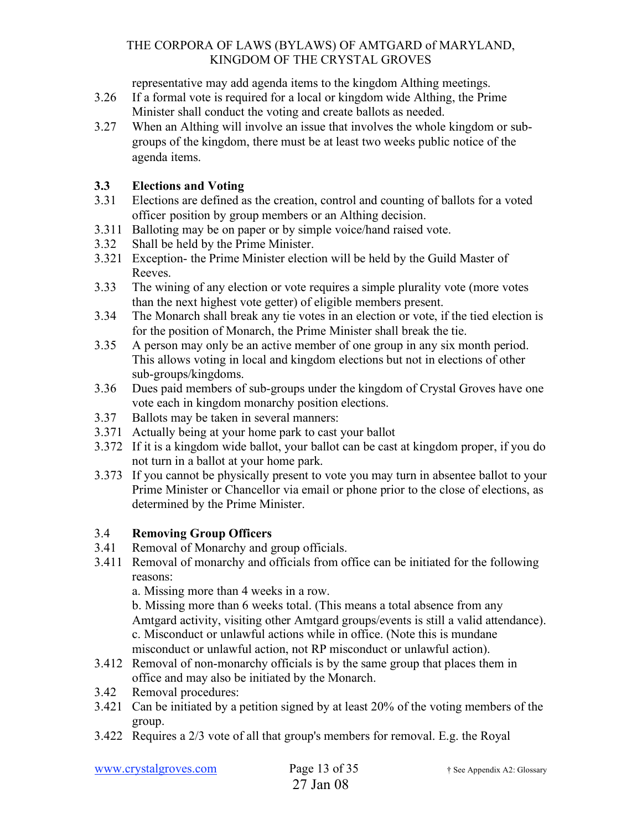representative may add agenda items to the kingdom Althing meetings.

- 3.26 If a formal vote is required for a local or kingdom wide Althing, the Prime Minister shall conduct the voting and create ballots as needed.
- 3.27 When an Althing will involve an issue that involves the whole kingdom or subgroups of the kingdom, there must be at least two weeks public notice of the agenda items.

## **3.3 Elections and Voting**

- 3.31 Elections are defined as the creation, control and counting of ballots for a voted officer position by group members or an Althing decision.
- 3.311 Balloting may be on paper or by simple voice/hand raised vote.
- 3.32 Shall be held by the Prime Minister.
- 3.321 Exception- the Prime Minister election will be held by the Guild Master of Reeves.
- 3.33 The wining of any election or vote requires a simple plurality vote (more votes than the next highest vote getter) of eligible members present.
- 3.34 The Monarch shall break any tie votes in an election or vote, if the tied election is for the position of Monarch, the Prime Minister shall break the tie.
- 3.35 A person may only be an active member of one group in any six month period. This allows voting in local and kingdom elections but not in elections of other sub-groups/kingdoms.
- 3.36 Dues paid members of sub-groups under the kingdom of Crystal Groves have one vote each in kingdom monarchy position elections.
- 3.37 Ballots may be taken in several manners:
- 3.371 Actually being at your home park to cast your ballot
- 3.372 If it is a kingdom wide ballot, your ballot can be cast at kingdom proper, if you do not turn in a ballot at your home park.
- 3.373 If you cannot be physically present to vote you may turn in absentee ballot to your Prime Minister or Chancellor via email or phone prior to the close of elections, as determined by the Prime Minister.

# 3.4 **Removing Group Officers**

- 3.41 Removal of Monarchy and group officials.
- 3.411 Removal of monarchy and officials from office can be initiated for the following reasons:

a. Missing more than 4 weeks in a row.

b. Missing more than 6 weeks total. (This means a total absence from any Amtgard activity, visiting other Amtgard groups/events is still a valid attendance). c. Misconduct or unlawful actions while in office. (Note this is mundane misconduct or unlawful action, not RP misconduct or unlawful action).

- 3.412 Removal of non-monarchy officials is by the same group that places them in office and may also be initiated by the Monarch.
- 3.42 Removal procedures:
- 3.421 Can be initiated by a petition signed by at least 20% of the voting members of the group.
- 3.422 Requires a 2/3 vote of all that group's members for removal. E.g. the Royal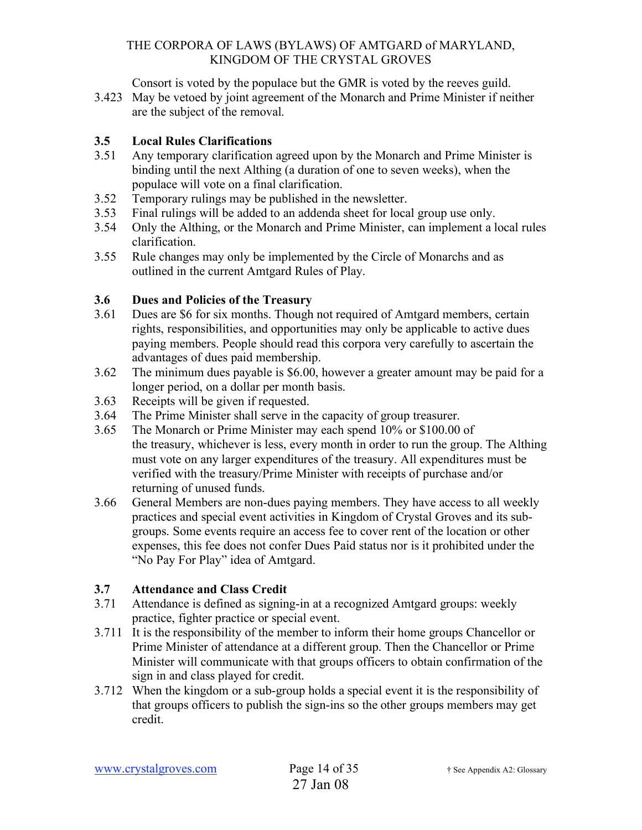Consort is voted by the populace but the GMR is voted by the reeves guild.

3.423 May be vetoed by joint agreement of the Monarch and Prime Minister if neither are the subject of the removal.

## **3.5 Local Rules Clarifications**

- 3.51 Any temporary clarification agreed upon by the Monarch and Prime Minister is binding until the next Althing (a duration of one to seven weeks), when the populace will vote on a final clarification.
- 3.52 Temporary rulings may be published in the newsletter.
- 3.53 Final rulings will be added to an addenda sheet for local group use only.
- 3.54 Only the Althing, or the Monarch and Prime Minister, can implement a local rules clarification.
- 3.55 Rule changes may only be implemented by the Circle of Monarchs and as outlined in the current Amtgard Rules of Play.

## **3.6 Dues and Policies of the Treasury**

- 3.61 Dues are \$6 for six months. Though not required of Amtgard members, certain rights, responsibilities, and opportunities may only be applicable to active dues paying members. People should read this corpora very carefully to ascertain the advantages of dues paid membership.
- 3.62 The minimum dues payable is \$6.00, however a greater amount may be paid for a longer period, on a dollar per month basis.
- 3.63 Receipts will be given if requested.
- 3.64 The Prime Minister shall serve in the capacity of group treasurer.
- 3.65 The Monarch or Prime Minister may each spend 10% or \$100.00 of the treasury, whichever is less, every month in order to run the group. The Althing must vote on any larger expenditures of the treasury. All expenditures must be verified with the treasury/Prime Minister with receipts of purchase and/or returning of unused funds.
- 3.66 General Members are non-dues paying members. They have access to all weekly practices and special event activities in Kingdom of Crystal Groves and its subgroups. Some events require an access fee to cover rent of the location or other expenses, this fee does not confer Dues Paid status nor is it prohibited under the "No Pay For Play" idea of Amtgard.

## **3.7 Attendance and Class Credit**

- 3.71 Attendance is defined as signing-in at a recognized Amtgard groups: weekly practice, fighter practice or special event.
- 3.711 It is the responsibility of the member to inform their home groups Chancellor or Prime Minister of attendance at a different group. Then the Chancellor or Prime Minister will communicate with that groups officers to obtain confirmation of the sign in and class played for credit.
- 3.712 When the kingdom or a sub-group holds a special event it is the responsibility of that groups officers to publish the sign-ins so the other groups members may get credit.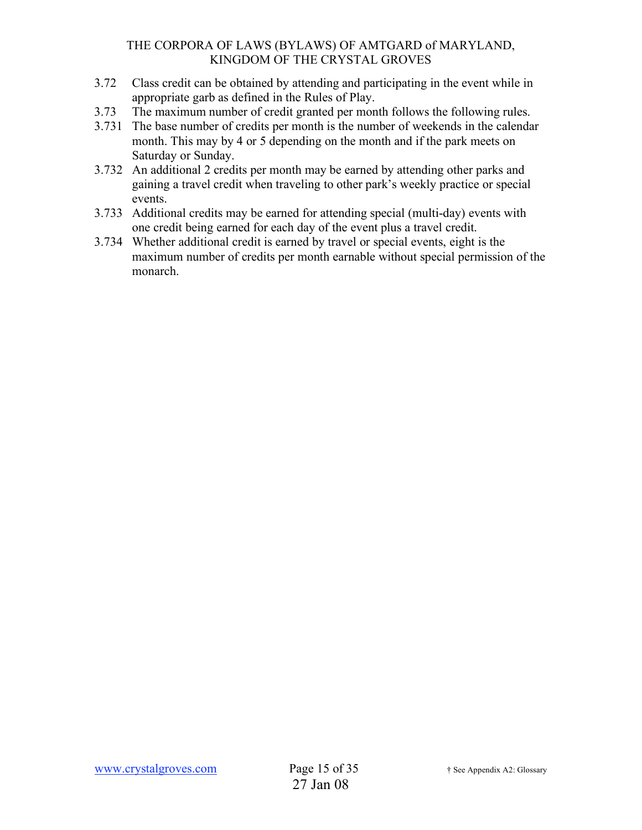- 3.72 Class credit can be obtained by attending and participating in the event while in appropriate garb as defined in the Rules of Play.
- 3.73 The maximum number of credit granted per month follows the following rules.
- 3.731 The base number of credits per month is the number of weekends in the calendar month. This may by 4 or 5 depending on the month and if the park meets on Saturday or Sunday.
- 3.732 An additional 2 credits per month may be earned by attending other parks and gaining a travel credit when traveling to other park's weekly practice or special events.
- 3.733 Additional credits may be earned for attending special (multi-day) events with one credit being earned for each day of the event plus a travel credit.
- 3.734 Whether additional credit is earned by travel or special events, eight is the maximum number of credits per month earnable without special permission of the monarch.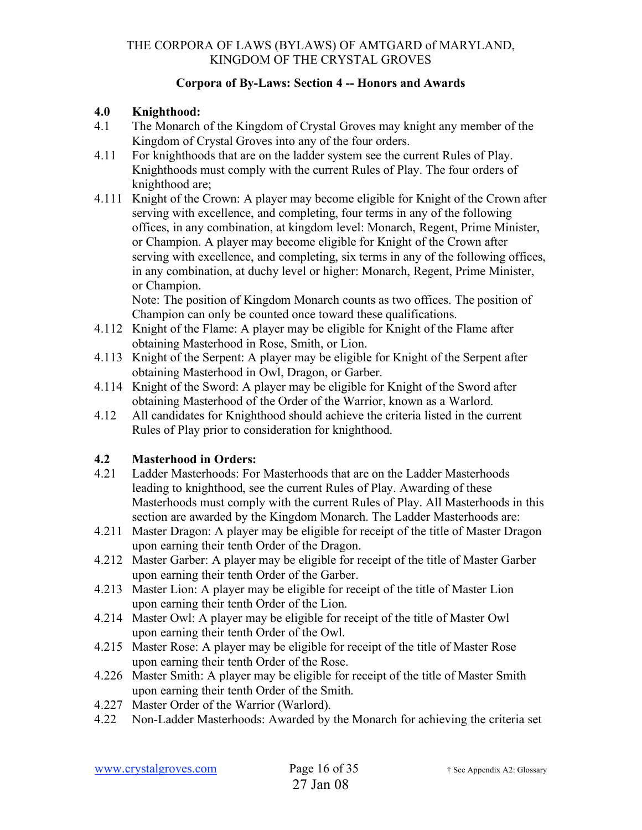## **Corpora of By-Laws: Section 4 -- Honors and Awards**

## **4.0 Knighthood:**

- 4.1 The Monarch of the Kingdom of Crystal Groves may knight any member of the Kingdom of Crystal Groves into any of the four orders.
- 4.11 For knighthoods that are on the ladder system see the current Rules of Play. Knighthoods must comply with the current Rules of Play. The four orders of knighthood are;
- 4.111 Knight of the Crown: A player may become eligible for Knight of the Crown after serving with excellence, and completing, four terms in any of the following offices, in any combination, at kingdom level: Monarch, Regent, Prime Minister, or Champion. A player may become eligible for Knight of the Crown after serving with excellence, and completing, six terms in any of the following offices, in any combination, at duchy level or higher: Monarch, Regent, Prime Minister, or Champion.

Note: The position of Kingdom Monarch counts as two offices. The position of Champion can only be counted once toward these qualifications.

- 4.112 Knight of the Flame: A player may be eligible for Knight of the Flame after obtaining Masterhood in Rose, Smith, or Lion.
- 4.113 Knight of the Serpent: A player may be eligible for Knight of the Serpent after obtaining Masterhood in Owl, Dragon, or Garber.
- 4.114 Knight of the Sword: A player may be eligible for Knight of the Sword after obtaining Masterhood of the Order of the Warrior, known as a Warlord.
- 4.12 All candidates for Knighthood should achieve the criteria listed in the current Rules of Play prior to consideration for knighthood.

# **4.2 Masterhood in Orders:**

- 4.21 Ladder Masterhoods: For Masterhoods that are on the Ladder Masterhoods leading to knighthood, see the current Rules of Play. Awarding of these Masterhoods must comply with the current Rules of Play. All Masterhoods in this section are awarded by the Kingdom Monarch. The Ladder Masterhoods are:
- 4.211 Master Dragon: A player may be eligible for receipt of the title of Master Dragon upon earning their tenth Order of the Dragon.
- 4.212 Master Garber: A player may be eligible for receipt of the title of Master Garber upon earning their tenth Order of the Garber.
- 4.213 Master Lion: A player may be eligible for receipt of the title of Master Lion upon earning their tenth Order of the Lion.
- 4.214 Master Owl: A player may be eligible for receipt of the title of Master Owl upon earning their tenth Order of the Owl.
- 4.215 Master Rose: A player may be eligible for receipt of the title of Master Rose upon earning their tenth Order of the Rose.
- 4.226 Master Smith: A player may be eligible for receipt of the title of Master Smith upon earning their tenth Order of the Smith.
- 4.227 Master Order of the Warrior (Warlord).
- 4.22 Non-Ladder Masterhoods: Awarded by the Monarch for achieving the criteria set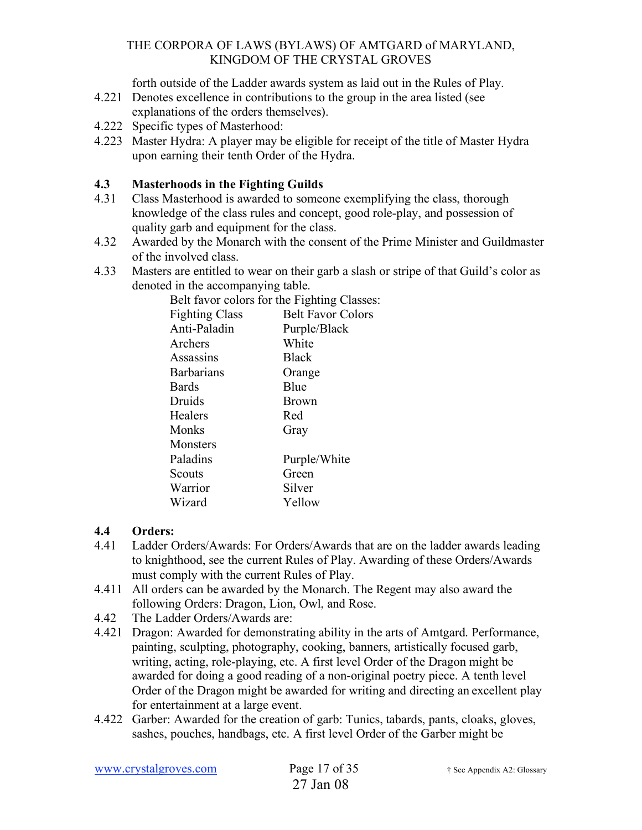forth outside of the Ladder awards system as laid out in the Rules of Play.

- 4.221 Denotes excellence in contributions to the group in the area listed (see explanations of the orders themselves).
- 4.222 Specific types of Masterhood:
- 4.223 Master Hydra: A player may be eligible for receipt of the title of Master Hydra upon earning their tenth Order of the Hydra.

## **4.3 Masterhoods in the Fighting Guilds**

- 4.31 Class Masterhood is awarded to someone exemplifying the class, thorough knowledge of the class rules and concept, good role-play, and possession of quality garb and equipment for the class.
- 4.32 Awarded by the Monarch with the consent of the Prime Minister and Guildmaster of the involved class.
- 4.33 Masters are entitled to wear on their garb a slash or stripe of that Guild's color as denoted in the accompanying table.

Belt favor colors for the Fighting Classes:

| <b>Fighting Class</b> | <b>Belt Favor Colors</b> |
|-----------------------|--------------------------|
| Anti-Paladin          | Purple/Black             |
| Archers               | White                    |
| Assassins             | <b>Black</b>             |
| <b>Barbarians</b>     | Orange                   |
| <b>Bards</b>          | Blue                     |
| Druids                | <b>Brown</b>             |
| Healers               | Red                      |
| Monks                 | Gray                     |
| Monsters              |                          |
| Paladins              | Purple/White             |
| Scouts                | Green                    |
| Warrior               | Silver                   |
| Wizard                | Yellow                   |
|                       |                          |

## **4.4 Orders:**

- 4.41 Ladder Orders/Awards: For Orders/Awards that are on the ladder awards leading to knighthood, see the current Rules of Play. Awarding of these Orders/Awards must comply with the current Rules of Play.
- 4.411 All orders can be awarded by the Monarch. The Regent may also award the following Orders: Dragon, Lion, Owl, and Rose.
- 4.42 The Ladder Orders/Awards are:
- 4.421 Dragon: Awarded for demonstrating ability in the arts of Amtgard. Performance, painting, sculpting, photography, cooking, banners, artistically focused garb, writing, acting, role-playing, etc. A first level Order of the Dragon might be awarded for doing a good reading of a non-original poetry piece. A tenth level Order of the Dragon might be awarded for writing and directing an excellent play for entertainment at a large event.
- 4.422 Garber: Awarded for the creation of garb: Tunics, tabards, pants, cloaks, gloves, sashes, pouches, handbags, etc. A first level Order of the Garber might be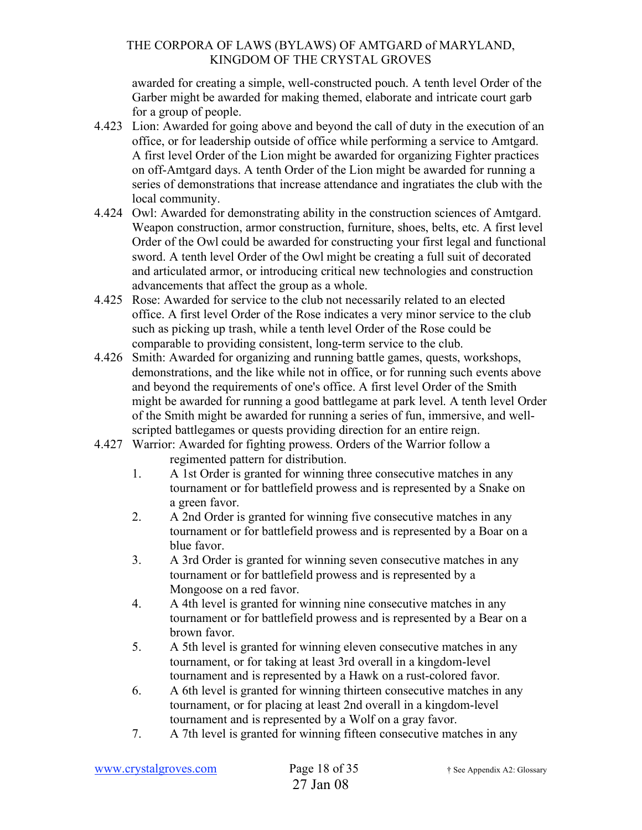awarded for creating a simple, well-constructed pouch. A tenth level Order of the Garber might be awarded for making themed, elaborate and intricate court garb for a group of people.

- 4.423 Lion: Awarded for going above and beyond the call of duty in the execution of an office, or for leadership outside of office while performing a service to Amtgard. A first level Order of the Lion might be awarded for organizing Fighter practices on off-Amtgard days. A tenth Order of the Lion might be awarded for running a series of demonstrations that increase attendance and ingratiates the club with the local community.
- 4.424 Owl: Awarded for demonstrating ability in the construction sciences of Amtgard. Weapon construction, armor construction, furniture, shoes, belts, etc. A first level Order of the Owl could be awarded for constructing your first legal and functional sword. A tenth level Order of the Owl might be creating a full suit of decorated and articulated armor, or introducing critical new technologies and construction advancements that affect the group as a whole.
- 4.425 Rose: Awarded for service to the club not necessarily related to an elected office. A first level Order of the Rose indicates a very minor service to the club such as picking up trash, while a tenth level Order of the Rose could be comparable to providing consistent, long-term service to the club.
- 4.426 Smith: Awarded for organizing and running battle games, quests, workshops, demonstrations, and the like while not in office, or for running such events above and beyond the requirements of one's office. A first level Order of the Smith might be awarded for running a good battlegame at park level. A tenth level Order of the Smith might be awarded for running a series of fun, immersive, and wellscripted battlegames or quests providing direction for an entire reign.
- 4.427 Warrior: Awarded for fighting prowess. Orders of the Warrior follow a regimented pattern for distribution.
	- 1. A 1st Order is granted for winning three consecutive matches in any tournament or for battlefield prowess and is represented by a Snake on a green favor.
	- 2. A 2nd Order is granted for winning five consecutive matches in any tournament or for battlefield prowess and is represented by a Boar on a blue favor.
	- 3. A 3rd Order is granted for winning seven consecutive matches in any tournament or for battlefield prowess and is represented by a Mongoose on a red favor.
	- 4. A 4th level is granted for winning nine consecutive matches in any tournament or for battlefield prowess and is represented by a Bear on a brown favor.
	- 5. A 5th level is granted for winning eleven consecutive matches in any tournament, or for taking at least 3rd overall in a kingdom-level tournament and is represented by a Hawk on a rust-colored favor.
	- 6. A 6th level is granted for winning thirteen consecutive matches in any tournament, or for placing at least 2nd overall in a kingdom-level tournament and is represented by a Wolf on a gray favor.
	- 7. A 7th level is granted for winning fifteen consecutive matches in any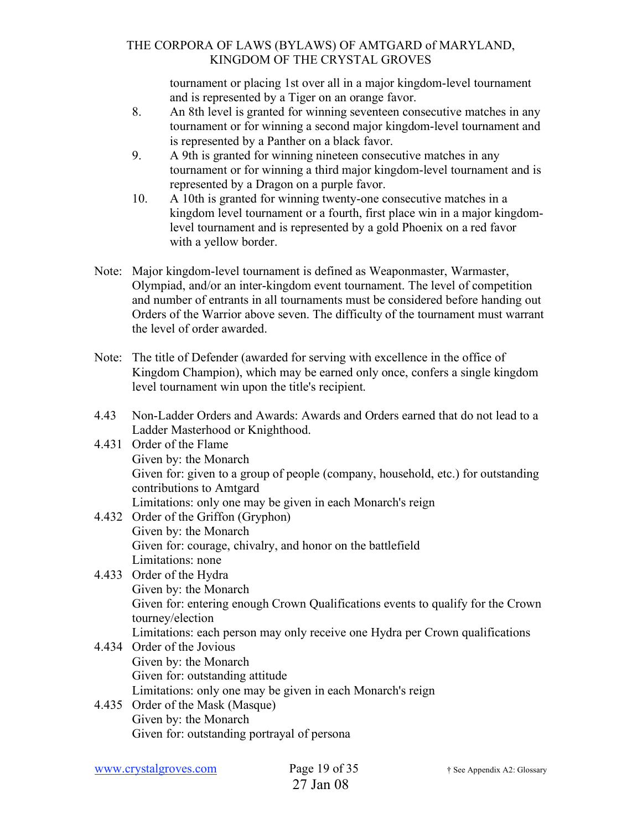tournament or placing 1st over all in a major kingdom-level tournament and is represented by a Tiger on an orange favor.

- 8. An 8th level is granted for winning seventeen consecutive matches in any tournament or for winning a second major kingdom-level tournament and is represented by a Panther on a black favor.
- 9. A 9th is granted for winning nineteen consecutive matches in any tournament or for winning a third major kingdom-level tournament and is represented by a Dragon on a purple favor.
- 10. A 10th is granted for winning twenty-one consecutive matches in a kingdom level tournament or a fourth, first place win in a major kingdomlevel tournament and is represented by a gold Phoenix on a red favor with a yellow border.
- Note: Major kingdom-level tournament is defined as Weaponmaster, Warmaster, Olympiad, and/or an inter-kingdom event tournament. The level of competition and number of entrants in all tournaments must be considered before handing out Orders of the Warrior above seven. The difficulty of the tournament must warrant the level of order awarded.
- Note: The title of Defender (awarded for serving with excellence in the office of Kingdom Champion), which may be earned only once, confers a single kingdom level tournament win upon the title's recipient.
- 4.43 Non-Ladder Orders and Awards: Awards and Orders earned that do not lead to a Ladder Masterhood or Knighthood.
- 4.431 Order of the Flame Given by: the Monarch Given for: given to a group of people (company, household, etc.) for outstanding contributions to Amtgard Limitations: only one may be given in each Monarch's reign 4.432 Order of the Griffon (Gryphon)
- Given by: the Monarch Given for: courage, chivalry, and honor on the battlefield Limitations: none
- 4.433 Order of the Hydra Given by: the Monarch Given for: entering enough Crown Qualifications events to qualify for the Crown tourney/election Limitations: each person may only receive one Hydra per Crown qualifications
- 4.434 Order of the Jovious Given by: the Monarch Given for: outstanding attitude Limitations: only one may be given in each Monarch's reign
- 4.435 Order of the Mask (Masque) Given by: the Monarch Given for: outstanding portrayal of persona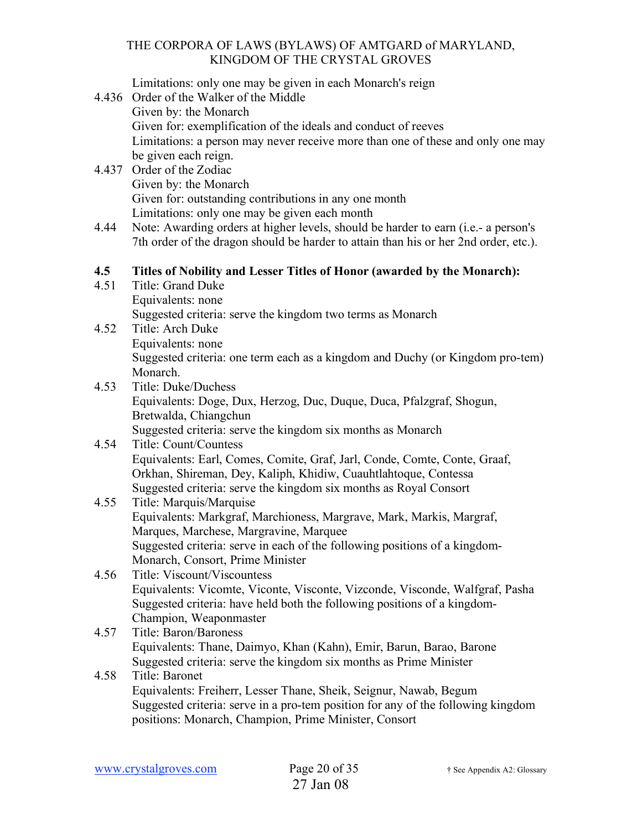Limitations: only one may be given in each Monarch's reign

- 4.436 Order of the Walker of the Middle Given by: the Monarch Given for: exemplification of the ideals and conduct of reeves Limitations: a person may never receive more than one of these and only one may be given each reign.
- 4.437 Order of the Zodiac Given by: the Monarch Given for: outstanding contributions in any one month Limitations: only one may be given each month
- 4.44 Note: Awarding orders at higher levels, should be harder to earn (i.e.- a person's 7th order of the dragon should be harder to attain than his or her 2nd order, etc.).

## **4.5 Titles of Nobility and Lesser Titles of Honor (awarded by the Monarch):**

- 4.51 Title: Grand Duke Equivalents: none Suggested criteria: serve the kingdom two terms as Monarch
- 4.52 Title: Arch Duke Equivalents: none Suggested criteria: one term each as a kingdom and Duchy (or Kingdom pro-tem) Monarch.
- 4.53 Title: Duke/Duchess Equivalents: Doge, Dux, Herzog, Duc, Duque, Duca, Pfalzgraf, Shogun, Bretwalda, Chiangchun Suggested criteria: serve the kingdom six months as Monarch

## 4.54 Title: Count/Countess Equivalents: Earl, Comes, Comite, Graf, Jarl, Conde, Comte, Conte, Graaf, Orkhan, Shireman, Dey, Kaliph, Khidiw, Cuauhtlahtoque, Contessa Suggested criteria: serve the kingdom six months as Royal Consort

#### 4.55 Title: Marquis/Marquise Equivalents: Markgraf, Marchioness, Margrave, Mark, Markis, Margraf, Marques, Marchese, Margravine, Marquee Suggested criteria: serve in each of the following positions of a kingdom-Monarch, Consort, Prime Minister

4.56 Title: Viscount/Viscountess Equivalents: Vicomte, Viconte, Visconte, Vizconde, Visconde, Walfgraf, Pasha Suggested criteria: have held both the following positions of a kingdom-Champion, Weaponmaster

## 4.57 Title: Baron/Baroness Equivalents: Thane, Daimyo, Khan (Kahn), Emir, Barun, Barao, Barone Suggested criteria: serve the kingdom six months as Prime Minister

## 4.58 Title: Baronet Equivalents: Freiherr, Lesser Thane, Sheik, Seignur, Nawab, Begum Suggested criteria: serve in a pro-tem position for any of the following kingdom positions: Monarch, Champion, Prime Minister, Consort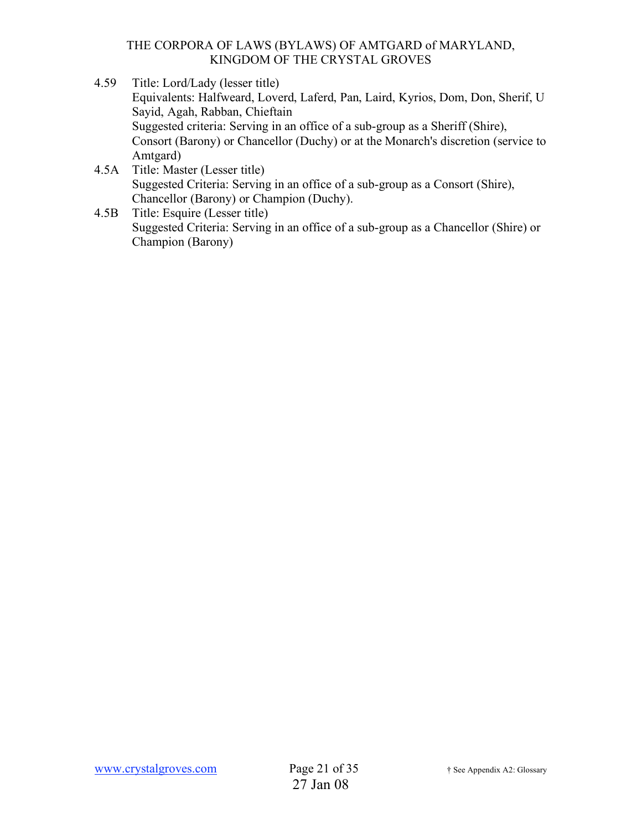- 4.59 Title: Lord/Lady (lesser title) Equivalents: Halfweard, Loverd, Laferd, Pan, Laird, Kyrios, Dom, Don, Sherif, U Sayid, Agah, Rabban, Chieftain Suggested criteria: Serving in an office of a sub-group as a Sheriff (Shire), Consort (Barony) or Chancellor (Duchy) or at the Monarch's discretion (service to Amtgard)
- 4.5A Title: Master (Lesser title) Suggested Criteria: Serving in an office of a sub-group as a Consort (Shire), Chancellor (Barony) or Champion (Duchy).
- 4.5B Title: Esquire (Lesser title) Suggested Criteria: Serving in an office of a sub-group as a Chancellor (Shire) or Champion (Barony)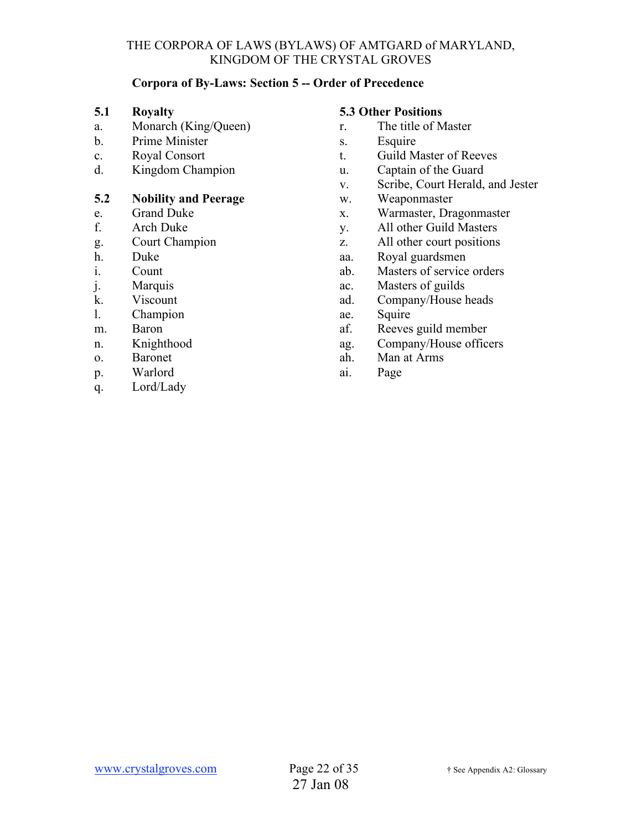### **Corpora of By-Laws: Section 5 -- Order of Precedence**

#### **5.1 Royalty**

- a. Monarch (King/Queen)
- b. Prime Minister
- c. Royal Consort
- d. Kingdom Champion

## **5.2 Nobility and Peerage**

- e. Grand Duke
- f. Arch Duke
- g. Court Champion
- h. Duke
- i. Count
- j. Marquis
- k. Viscount
- l. Champion
- m. Baron
- n. Knighthood
- o. Baronet
- p. Warlord
- q. Lord/Lady

#### **5.3 Other Positions**

- r. The title of Master
- s. Esquire
- t. Guild Master of Reeves
- u. Captain of the Guard
- v. Scribe, Court Herald, and Jester
- w. Weaponmaster
- x. Warmaster, Dragonmaster
- y. All other Guild Masters
- z. All other court positions
- aa. Royal guardsmen
- ab. Masters of service orders
- ac. Masters of guilds
- ad. Company/House heads
- ae. Squire
- af. Reeves guild member
- ag. Company/House officers
- ah. Man at Arms
- ai. Page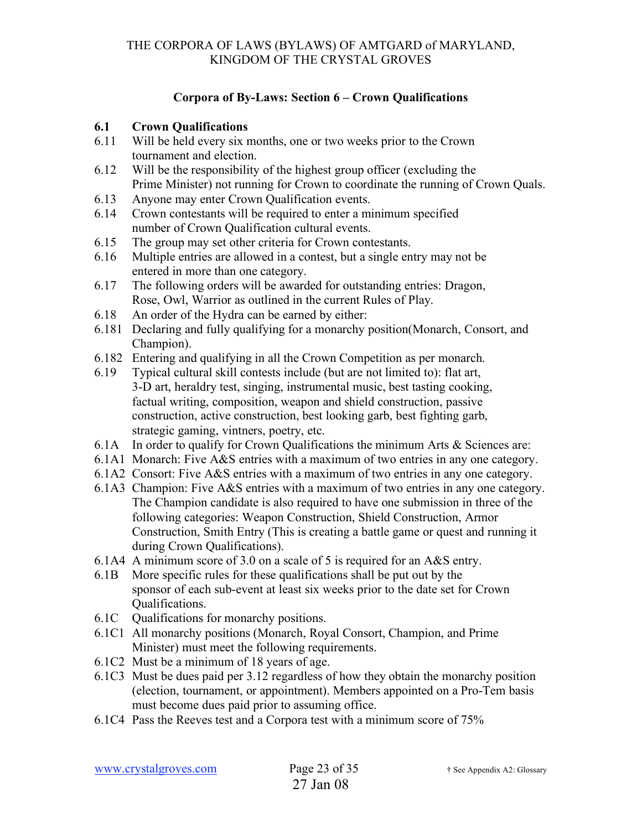## **Corpora of By-Laws: Section 6 – Crown Qualifications**

## **6.1 Crown Qualifications**

- 6.11 Will be held every six months, one or two weeks prior to the Crown tournament and election.
- 6.12 Will be the responsibility of the highest group officer (excluding the Prime Minister) not running for Crown to coordinate the running of Crown Quals.
- 6.13 Anyone may enter Crown Qualification events.
- 6.14 Crown contestants will be required to enter a minimum specified number of Crown Qualification cultural events.
- 6.15 The group may set other criteria for Crown contestants.
- 6.16 Multiple entries are allowed in a contest, but a single entry may not be entered in more than one category.
- 6.17 The following orders will be awarded for outstanding entries: Dragon, Rose, Owl, Warrior as outlined in the current Rules of Play.
- 6.18 An order of the Hydra can be earned by either:
- 6.181 Declaring and fully qualifying for a monarchy position(Monarch, Consort, and Champion).
- 6.182 Entering and qualifying in all the Crown Competition as per monarch.
- 6.19 Typical cultural skill contests include (but are not limited to): flat art, 3-D art, heraldry test, singing, instrumental music, best tasting cooking, factual writing, composition, weapon and shield construction, passive construction, active construction, best looking garb, best fighting garb, strategic gaming, vintners, poetry, etc.
- 6.1A In order to qualify for Crown Qualifications the minimum Arts & Sciences are:
- 6.1A1 Monarch: Five A&S entries with a maximum of two entries in any one category.
- 6.1A2 Consort: Five A&S entries with a maximum of two entries in any one category.
- 6.1A3 Champion: Five A&S entries with a maximum of two entries in any one category. The Champion candidate is also required to have one submission in three of the following categories: Weapon Construction, Shield Construction, Armor Construction, Smith Entry (This is creating a battle game or quest and running it during Crown Qualifications).
- 6.1A4 A minimum score of 3.0 on a scale of 5 is required for an A&S entry.
- 6.1B More specific rules for these qualifications shall be put out by the sponsor of each sub-event at least six weeks prior to the date set for Crown Qualifications.
- 6.1C Qualifications for monarchy positions.
- 6.1C1 All monarchy positions (Monarch, Royal Consort, Champion, and Prime Minister) must meet the following requirements.
- 6.1C2 Must be a minimum of 18 years of age.
- 6.1C3 Must be dues paid per 3.12 regardless of how they obtain the monarchy position (election, tournament, or appointment). Members appointed on a Pro-Tem basis must become dues paid prior to assuming office.
- 6.1C4 Pass the Reeves test and a Corpora test with a minimum score of 75%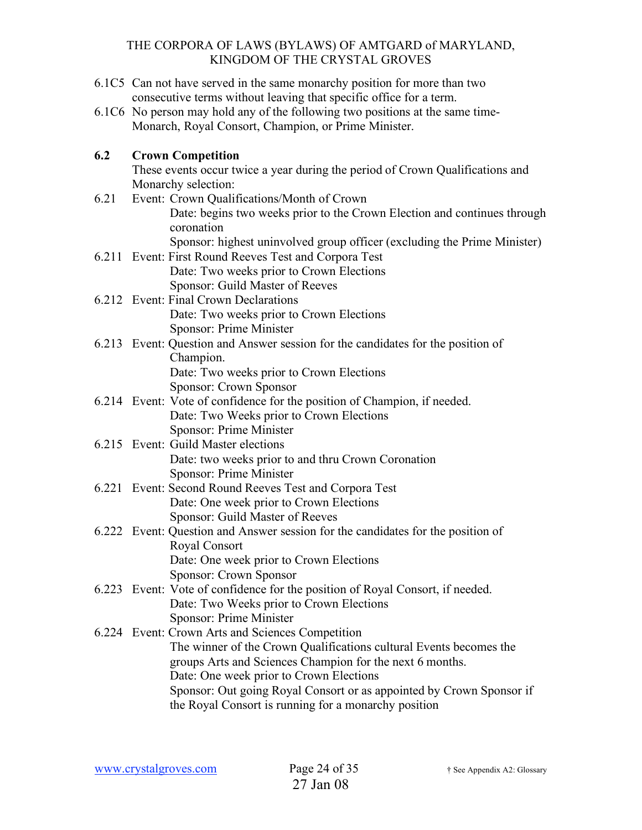- 6.1C5 Can not have served in the same monarchy position for more than two consecutive terms without leaving that specific office for a term.
- 6.1C6 No person may hold any of the following two positions at the same time-Monarch, Royal Consort, Champion, or Prime Minister.

## **6.2 Crown Competition**

These events occur twice a year during the period of Crown Qualifications and Monarchy selection:

- 6.21 Event: Crown Qualifications/Month of Crown Date: begins two weeks prior to the Crown Election and continues through coronation Sponsor: highest uninvolved group officer (excluding the Prime Minister)
- 6.211 Event: First Round Reeves Test and Corpora Test Date: Two weeks prior to Crown Elections
- Sponsor: Guild Master of Reeves 6.212 Event: Final Crown Declarations Date: Two weeks prior to Crown Elections Sponsor: Prime Minister
- 6.213 Event: Question and Answer session for the candidates for the position of Champion. Date: Two weeks prior to Crown Elections Sponsor: Crown Sponsor
- 6.214 Event: Vote of confidence for the position of Champion, if needed.
	- Date: Two Weeks prior to Crown Elections Sponsor: Prime Minister
- 6.215 Event: Guild Master elections Date: two weeks prior to and thru Crown Coronation Sponsor: Prime Minister
- 6.221 Event: Second Round Reeves Test and Corpora Test Date: One week prior to Crown Elections Sponsor: Guild Master of Reeves
- 6.222 Event: Question and Answer session for the candidates for the position of Royal Consort Date: One week prior to Crown Elections Sponsor: Crown Sponsor
- 6.223 Event: Vote of confidence for the position of Royal Consort, if needed. Date: Two Weeks prior to Crown Elections Sponsor: Prime Minister

6.224 Event: Crown Arts and Sciences Competition The winner of the Crown Qualifications cultural Events becomes the groups Arts and Sciences Champion for the next 6 months. Date: One week prior to Crown Elections Sponsor: Out going Royal Consort or as appointed by Crown Sponsor if the Royal Consort is running for a monarchy position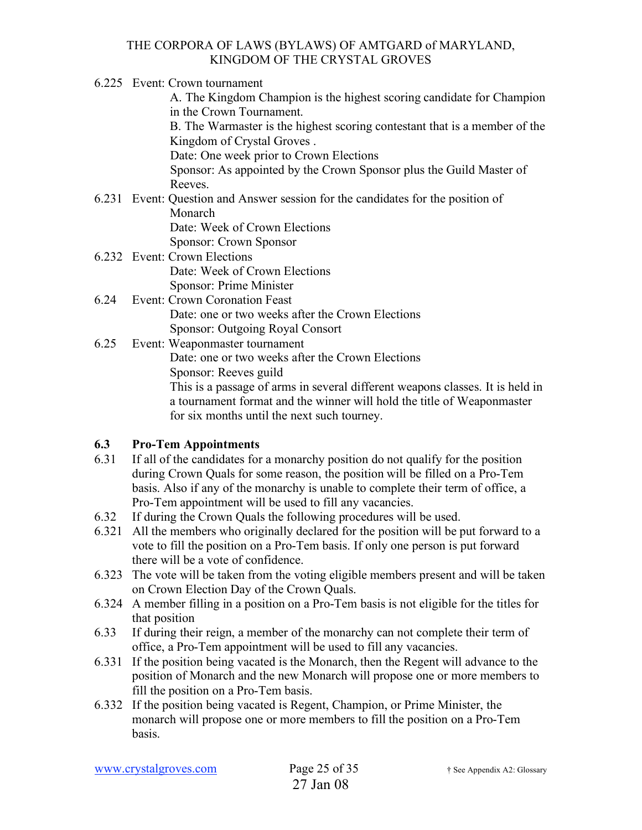6.225 Event: Crown tournament

A. The Kingdom Champion is the highest scoring candidate for Champion in the Crown Tournament.

B. The Warmaster is the highest scoring contestant that is a member of the Kingdom of Crystal Groves .

Date: One week prior to Crown Elections

Sponsor: As appointed by the Crown Sponsor plus the Guild Master of Reeves.

6.231 Event: Question and Answer session for the candidates for the position of Monarch Date: Week of Crown Elections

Sponsor: Crown Sponsor

- 6.232 Event: Crown Elections Date: Week of Crown Elections Sponsor: Prime Minister
- 6.24 Event: Crown Coronation Feast Date: one or two weeks after the Crown Elections Sponsor: Outgoing Royal Consort
- 6.25 Event: Weaponmaster tournament Date: one or two weeks after the Crown Elections Sponsor: Reeves guild This is a passage of arms in several different weapons classes. It is held in a tournament format and the winner will hold the title of Weaponmaster for six months until the next such tourney.

## **6.3 Pro-Tem Appointments**

- 6.31 If all of the candidates for a monarchy position do not qualify for the position during Crown Quals for some reason, the position will be filled on a Pro-Tem basis. Also if any of the monarchy is unable to complete their term of office, a Pro-Tem appointment will be used to fill any vacancies.
- 6.32 If during the Crown Quals the following procedures will be used.
- 6.321 All the members who originally declared for the position will be put forward to a vote to fill the position on a Pro-Tem basis. If only one person is put forward there will be a vote of confidence.
- 6.323 The vote will be taken from the voting eligible members present and will be taken on Crown Election Day of the Crown Quals.
- 6.324 A member filling in a position on a Pro-Tem basis is not eligible for the titles for that position
- 6.33 If during their reign, a member of the monarchy can not complete their term of office, a Pro-Tem appointment will be used to fill any vacancies.
- 6.331 If the position being vacated is the Monarch, then the Regent will advance to the position of Monarch and the new Monarch will propose one or more members to fill the position on a Pro-Tem basis.
- 6.332 If the position being vacated is Regent, Champion, or Prime Minister, the monarch will propose one or more members to fill the position on a Pro-Tem basis.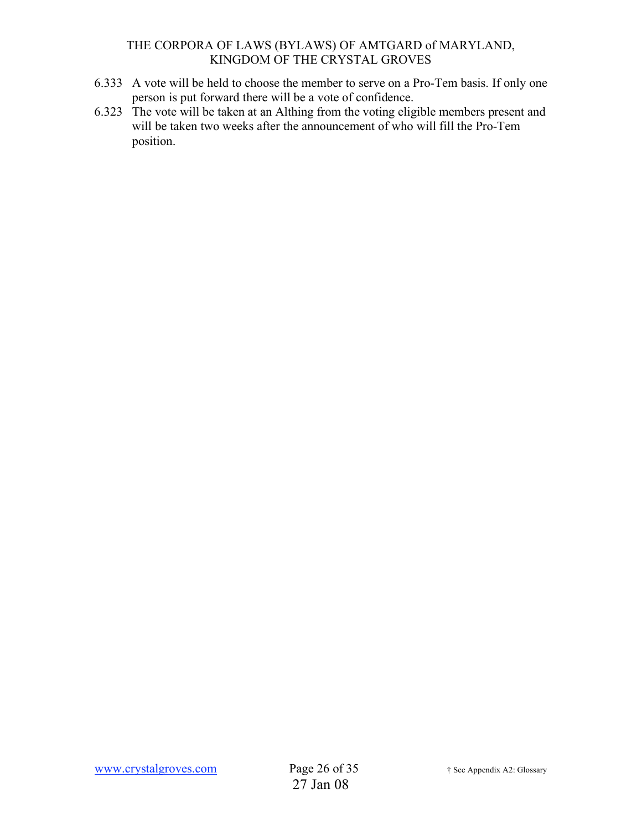- 6.333 A vote will be held to choose the member to serve on a Pro-Tem basis. If only one person is put forward there will be a vote of confidence.
- 6.323 The vote will be taken at an Althing from the voting eligible members present and will be taken two weeks after the announcement of who will fill the Pro-Tem position.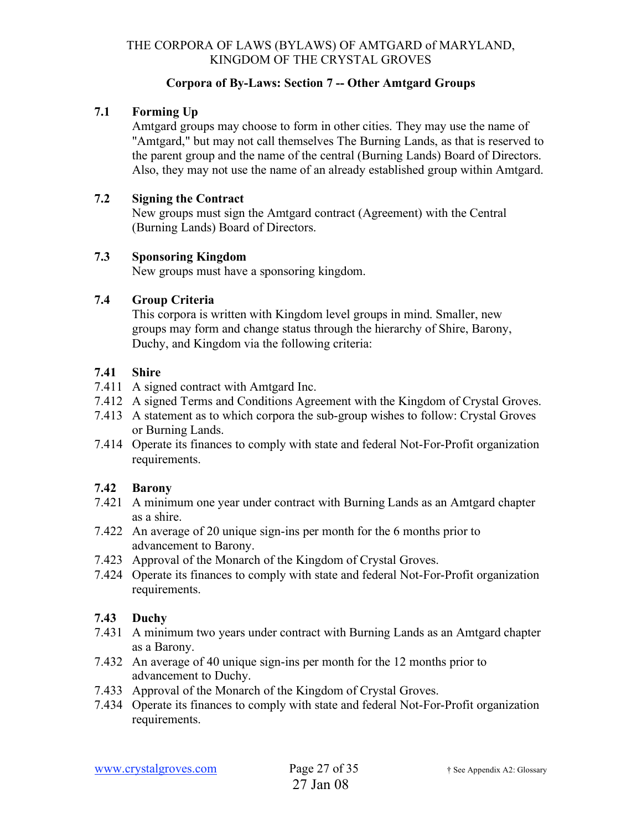### **Corpora of By-Laws: Section 7 -- Other Amtgard Groups**

## **7.1 Forming Up**

Amtgard groups may choose to form in other cities. They may use the name of "Amtgard," but may not call themselves The Burning Lands, as that is reserved to the parent group and the name of the central (Burning Lands) Board of Directors. Also, they may not use the name of an already established group within Amtgard.

#### **7.2 Signing the Contract**

New groups must sign the Amtgard contract (Agreement) with the Central (Burning Lands) Board of Directors.

#### **7.3 Sponsoring Kingdom**

New groups must have a sponsoring kingdom.

#### **7.4 Group Criteria**

This corpora is written with Kingdom level groups in mind. Smaller, new groups may form and change status through the hierarchy of Shire, Barony, Duchy, and Kingdom via the following criteria:

### **7.41 Shire**

- 7.411 A signed contract with Amtgard Inc.
- 7.412 A signed Terms and Conditions Agreement with the Kingdom of Crystal Groves.
- 7.413 A statement as to which corpora the sub-group wishes to follow: Crystal Groves or Burning Lands.
- 7.414 Operate its finances to comply with state and federal Not-For-Profit organization requirements.

### **7.42 Barony**

- 7.421 A minimum one year under contract with Burning Lands as an Amtgard chapter as a shire.
- 7.422 An average of 20 unique sign-ins per month for the 6 months prior to advancement to Barony.
- 7.423 Approval of the Monarch of the Kingdom of Crystal Groves.
- 7.424 Operate its finances to comply with state and federal Not-For-Profit organization requirements.

### **7.43 Duchy**

- 7.431 A minimum two years under contract with Burning Lands as an Amtgard chapter as a Barony.
- 7.432 An average of 40 unique sign-ins per month for the 12 months prior to advancement to Duchy.
- 7.433 Approval of the Monarch of the Kingdom of Crystal Groves.
- 7.434 Operate its finances to comply with state and federal Not-For-Profit organization requirements.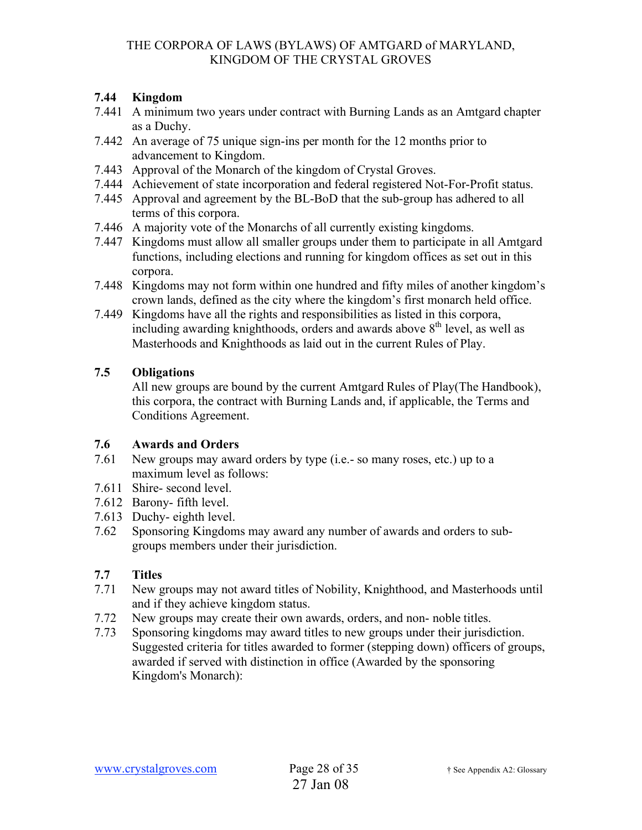## **7.44 Kingdom**

- 7.441 A minimum two years under contract with Burning Lands as an Amtgard chapter as a Duchy.
- 7.442 An average of 75 unique sign-ins per month for the 12 months prior to advancement to Kingdom.
- 7.443 Approval of the Monarch of the kingdom of Crystal Groves.
- 7.444 Achievement of state incorporation and federal registered Not-For-Profit status.
- 7.445 Approval and agreement by the BL-BoD that the sub-group has adhered to all terms of this corpora.
- 7.446 A majority vote of the Monarchs of all currently existing kingdoms.
- 7.447 Kingdoms must allow all smaller groups under them to participate in all Amtgard functions, including elections and running for kingdom offices as set out in this corpora.
- 7.448 Kingdoms may not form within one hundred and fifty miles of another kingdom's crown lands, defined as the city where the kingdom's first monarch held office.
- 7.449 Kingdoms have all the rights and responsibilities as listed in this corpora, including awarding knighthoods, orders and awards above  $8<sup>th</sup>$  level, as well as Masterhoods and Knighthoods as laid out in the current Rules of Play.

## **7.5 Obligations**

All new groups are bound by the current Amtgard Rules of Play(The Handbook), this corpora, the contract with Burning Lands and, if applicable, the Terms and Conditions Agreement.

### **7.6 Awards and Orders**

- 7.61 New groups may award orders by type (i.e.- so many roses, etc.) up to a maximum level as follows:
- 7.611 Shire- second level.
- 7.612 Barony- fifth level.
- 7.613 Duchy- eighth level.
- 7.62 Sponsoring Kingdoms may award any number of awards and orders to subgroups members under their jurisdiction.

### **7.7 Titles**

- 7.71 New groups may not award titles of Nobility, Knighthood, and Masterhoods until and if they achieve kingdom status.
- 7.72 New groups may create their own awards, orders, and non- noble titles.
- 7.73 Sponsoring kingdoms may award titles to new groups under their jurisdiction. Suggested criteria for titles awarded to former (stepping down) officers of groups, awarded if served with distinction in office (Awarded by the sponsoring Kingdom's Monarch):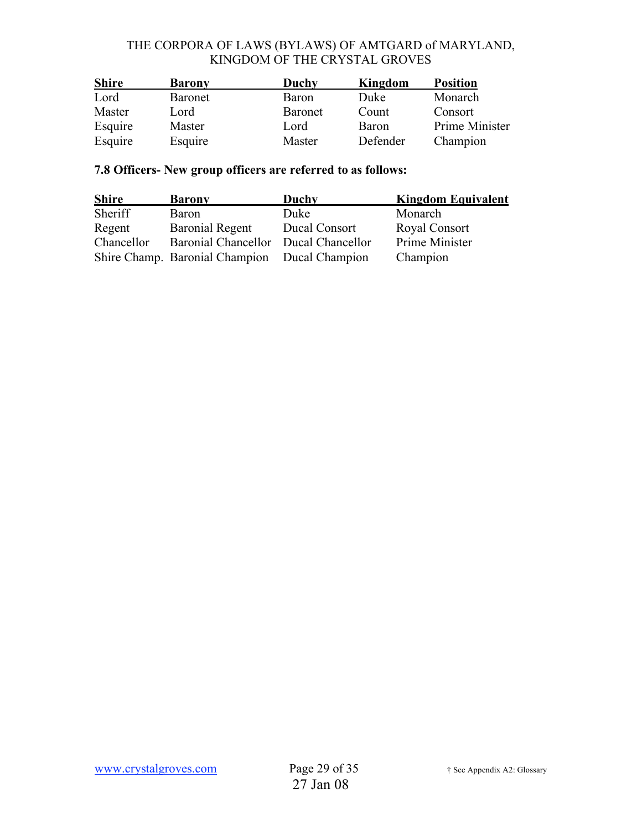| <b>Shire</b> | Duchy<br><b>Barony</b> |                | Kingdom      | <b>Position</b> |  |  |
|--------------|------------------------|----------------|--------------|-----------------|--|--|
| Lord         | <b>Baronet</b>         | Baron          | Duke         | Monarch         |  |  |
| Master       | Lord                   | <b>Baronet</b> | Count        | Consort         |  |  |
| Esquire      | Master                 | Lord           | <b>Baron</b> | Prime Minister  |  |  |
| Esquire      | Esquire                | Master         | Defender     | Champion        |  |  |

# **7.8 Officers- New group officers are referred to as follows:**

| <b>Shire</b> | <b>Barony</b>                                 | Duchy         | <b>Kingdom Equivalent</b> |  |  |  |
|--------------|-----------------------------------------------|---------------|---------------------------|--|--|--|
| Sheriff      | Baron                                         | Duke          | Monarch                   |  |  |  |
| Regent       | <b>Baronial Regent</b>                        | Ducal Consort | Royal Consort             |  |  |  |
| Chancellor   | Baronial Chancellor Ducal Chancellor          |               | Prime Minister            |  |  |  |
|              | Shire Champ. Baronial Champion Ducal Champion |               | Champion                  |  |  |  |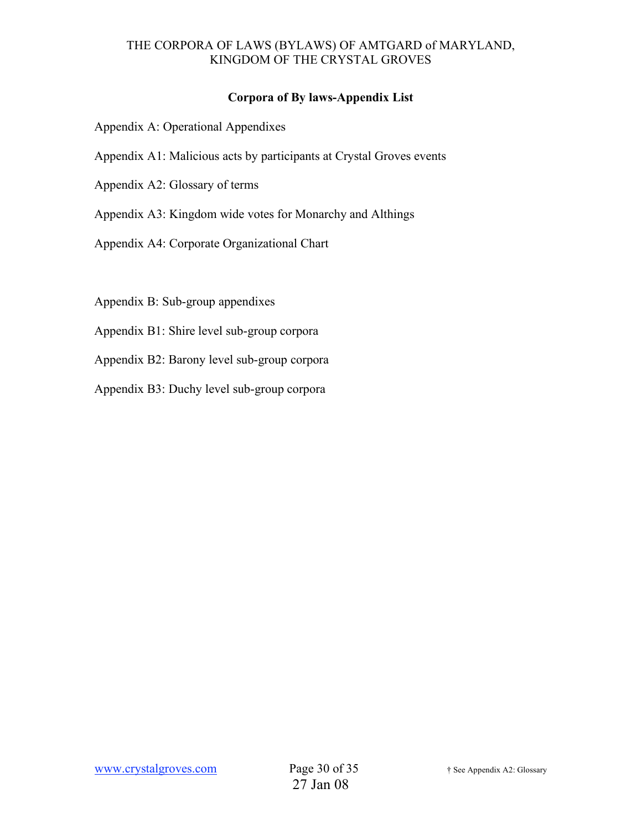## **Corpora of By laws-Appendix List**

- Appendix A: Operational Appendixes
- Appendix A1: Malicious acts by participants at Crystal Groves events
- Appendix A2: Glossary of terms
- Appendix A3: Kingdom wide votes for Monarchy and Althings
- Appendix A4: Corporate Organizational Chart

Appendix B: Sub-group appendixes

- Appendix B1: Shire level sub-group corpora
- Appendix B2: Barony level sub-group corpora
- Appendix B3: Duchy level sub-group corpora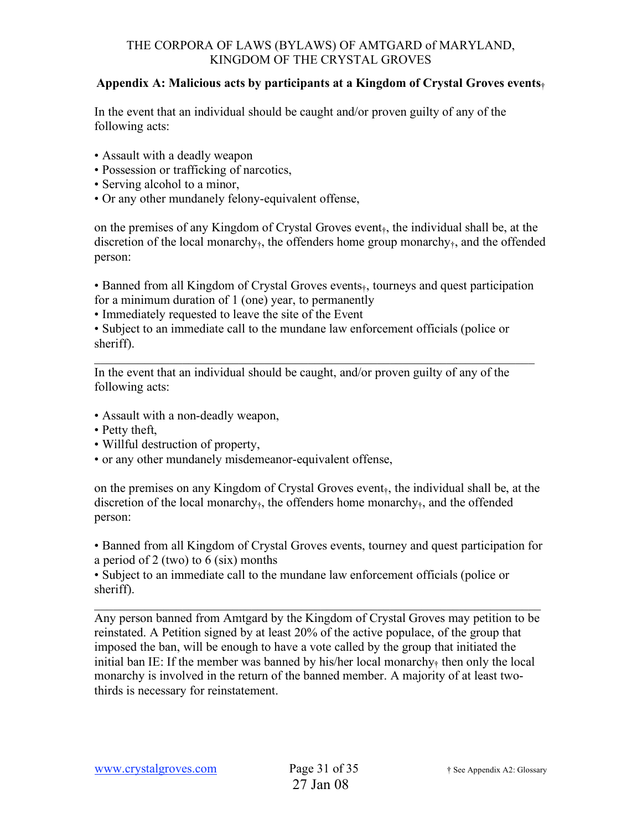### **Appendix A: Malicious acts by participants at a Kingdom of Crystal Groves events**†

In the event that an individual should be caught and/or proven guilty of any of the following acts:

- Assault with a deadly weapon
- Possession or trafficking of narcotics,
- Serving alcohol to a minor,
- Or any other mundanely felony-equivalent offense,

on the premises of any Kingdom of Crystal Groves event<sub>t</sub>, the individual shall be, at the discretion of the local monarchy<sub>†</sub>, the offenders home group monarchy<sub>†</sub>, and the offended person:

• Banned from all Kingdom of Crystal Groves events<sub>†</sub>, tourneys and quest participation for a minimum duration of 1 (one) year, to permanently

 $\mathcal{L}_\text{max}$  and  $\mathcal{L}_\text{max}$  and  $\mathcal{L}_\text{max}$  and  $\mathcal{L}_\text{max}$  and  $\mathcal{L}_\text{max}$  and  $\mathcal{L}_\text{max}$ 

• Immediately requested to leave the site of the Event

• Subject to an immediate call to the mundane law enforcement officials (police or sheriff).

In the event that an individual should be caught, and/or proven guilty of any of the following acts:

- Assault with a non-deadly weapon,
- Petty theft,
- Willful destruction of property.
- or any other mundanely misdemeanor-equivalent offense,

on the premises on any Kingdom of Crystal Groves event<sub> $\dot{t}$ </sub>, the individual shall be, at the discretion of the local monarchy $<sub>†</sub>$ , the offenders home monarchy $<sub>†</sub>$ , and the offended</sub></sub> person:

• Banned from all Kingdom of Crystal Groves events, tourney and quest participation for a period of 2 (two) to 6 (six) months

• Subject to an immediate call to the mundane law enforcement officials (police or sheriff).

Any person banned from Amtgard by the Kingdom of Crystal Groves may petition to be reinstated. A Petition signed by at least 20% of the active populace, of the group that imposed the ban, will be enough to have a vote called by the group that initiated the initial ban IE: If the member was banned by his/her local monarchy $<sub>†</sub>$  then only the local</sub> monarchy is involved in the return of the banned member. A majority of at least twothirds is necessary for reinstatement.

 $\mathcal{L}_\text{max} = \mathcal{L}_\text{max} = \mathcal{L}_\text{max} = \mathcal{L}_\text{max} = \mathcal{L}_\text{max} = \mathcal{L}_\text{max} = \mathcal{L}_\text{max} = \mathcal{L}_\text{max} = \mathcal{L}_\text{max} = \mathcal{L}_\text{max} = \mathcal{L}_\text{max} = \mathcal{L}_\text{max} = \mathcal{L}_\text{max} = \mathcal{L}_\text{max} = \mathcal{L}_\text{max} = \mathcal{L}_\text{max} = \mathcal{L}_\text{max} = \mathcal{L}_\text{max} = \mathcal{$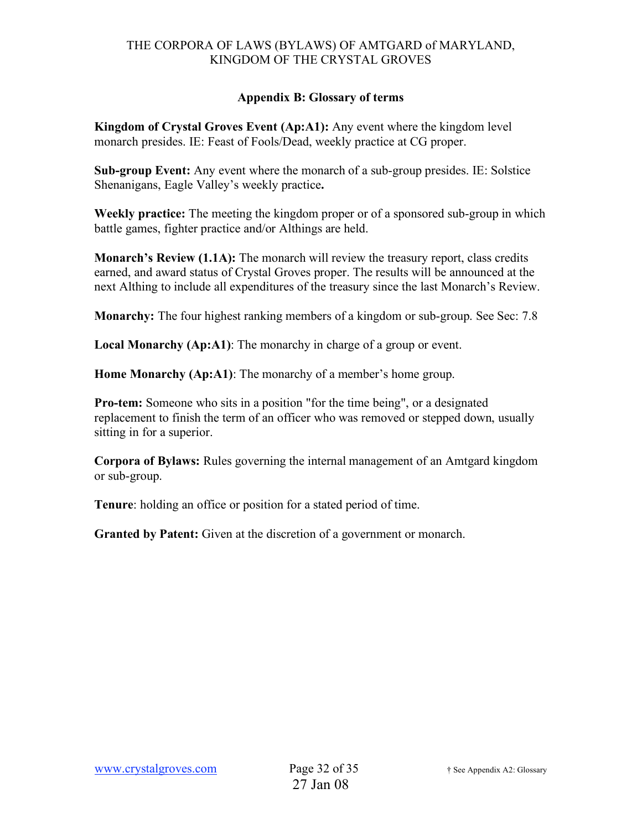## **Appendix B: Glossary of terms**

**Kingdom of Crystal Groves Event (Ap:A1):** Any event where the kingdom level monarch presides. IE: Feast of Fools/Dead, weekly practice at CG proper.

**Sub-group Event:** Any event where the monarch of a sub-group presides. IE: Solstice Shenanigans, Eagle Valley's weekly practice**.**

**Weekly practice:** The meeting the kingdom proper or of a sponsored sub-group in which battle games, fighter practice and/or Althings are held.

**Monarch's Review (1.1A):** The monarch will review the treasury report, class credits earned, and award status of Crystal Groves proper. The results will be announced at the next Althing to include all expenditures of the treasury since the last Monarch's Review.

**Monarchy:** The four highest ranking members of a kingdom or sub-group. See Sec: 7.8

**Local Monarchy (Ap:A1)**: The monarchy in charge of a group or event.

**Home Monarchy (Ap:A1)**: The monarchy of a member's home group.

**Pro-tem:** Someone who sits in a position "for the time being", or a designated replacement to finish the term of an officer who was removed or stepped down, usually sitting in for a superior.

**Corpora of Bylaws:** Rules governing the internal management of an Amtgard kingdom or sub-group.

**Tenure**: holding an office or position for a stated period of time.

**Granted by Patent:** Given at the discretion of a government or monarch.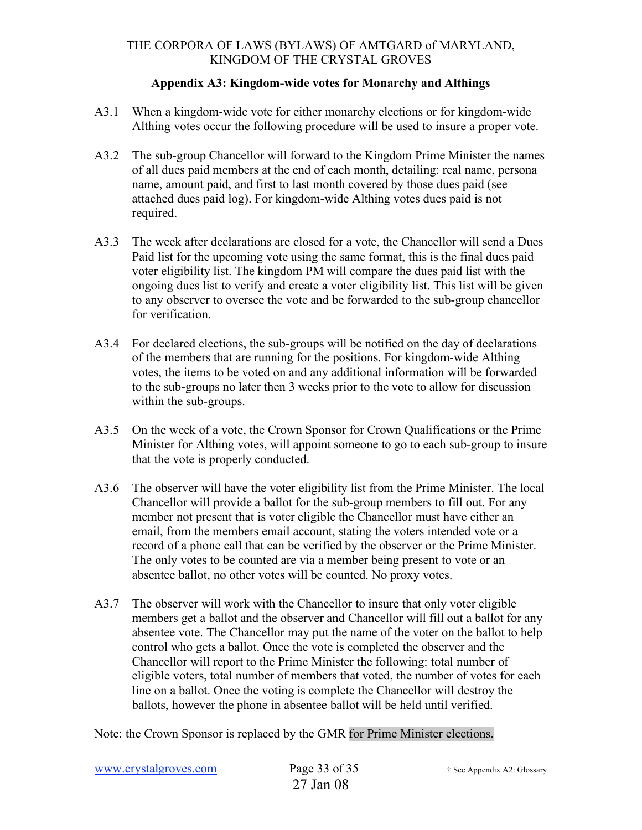### **Appendix A3: Kingdom-wide votes for Monarchy and Althings**

- A3.1 When a kingdom-wide vote for either monarchy elections or for kingdom-wide Althing votes occur the following procedure will be used to insure a proper vote.
- A3.2 The sub-group Chancellor will forward to the Kingdom Prime Minister the names of all dues paid members at the end of each month, detailing: real name, persona name, amount paid, and first to last month covered by those dues paid (see attached dues paid log). For kingdom-wide Althing votes dues paid is not required.
- A3.3 The week after declarations are closed for a vote, the Chancellor will send a Dues Paid list for the upcoming vote using the same format, this is the final dues paid voter eligibility list. The kingdom PM will compare the dues paid list with the ongoing dues list to verify and create a voter eligibility list. This list will be given to any observer to oversee the vote and be forwarded to the sub-group chancellor for verification.
- A3.4 For declared elections, the sub-groups will be notified on the day of declarations of the members that are running for the positions. For kingdom-wide Althing votes, the items to be voted on and any additional information will be forwarded to the sub-groups no later then 3 weeks prior to the vote to allow for discussion within the sub-groups.
- A3.5 On the week of a vote, the Crown Sponsor for Crown Qualifications or the Prime Minister for Althing votes, will appoint someone to go to each sub-group to insure that the vote is properly conducted.
- A3.6 The observer will have the voter eligibility list from the Prime Minister. The local Chancellor will provide a ballot for the sub-group members to fill out. For any member not present that is voter eligible the Chancellor must have either an email, from the members email account, stating the voters intended vote or a record of a phone call that can be verified by the observer or the Prime Minister. The only votes to be counted are via a member being present to vote or an absentee ballot, no other votes will be counted. No proxy votes.
- A3.7 The observer will work with the Chancellor to insure that only voter eligible members get a ballot and the observer and Chancellor will fill out a ballot for any absentee vote. The Chancellor may put the name of the voter on the ballot to help control who gets a ballot. Once the vote is completed the observer and the Chancellor will report to the Prime Minister the following: total number of eligible voters, total number of members that voted, the number of votes for each line on a ballot. Once the voting is complete the Chancellor will destroy the ballots, however the phone in absentee ballot will be held until verified.

Note: the Crown Sponsor is replaced by the GMR for Prime Minister elections.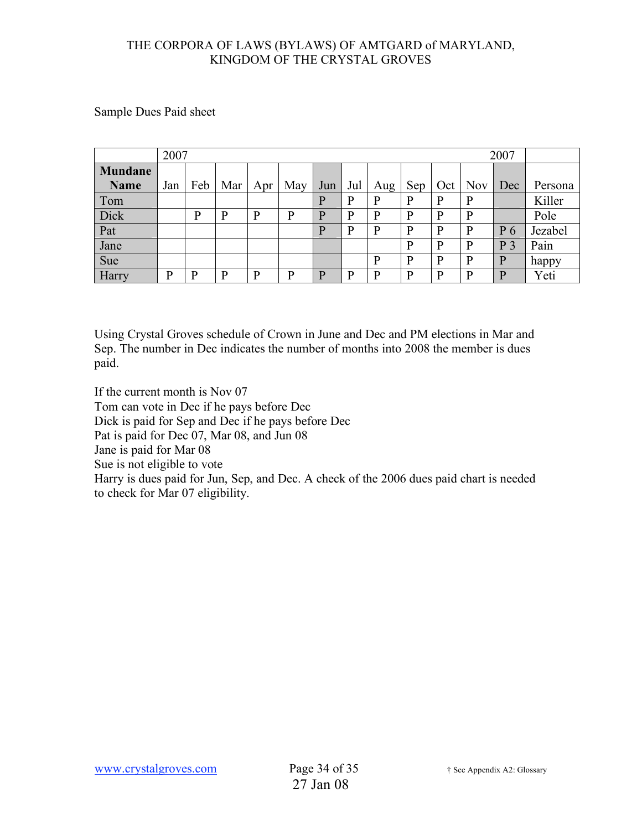Sample Dues Paid sheet

|                        | 2007<br>2007 |     |     |     |     |     |     |              |     |     |              |                |         |
|------------------------|--------------|-----|-----|-----|-----|-----|-----|--------------|-----|-----|--------------|----------------|---------|
| Mundane<br><b>Name</b> | Jan          | Feb | Mar | Apr | May | Jun | Jul | Aug          | Sep | Oct | <b>Nov</b>   | Dec            | Persona |
| Tom                    |              |     |     |     |     | p   | P   | $\mathbf{P}$ | P   | D   | P            |                | Killer  |
| Dick                   |              | D   | D   | D   | D   | D   | D   | P            | P   | D   | p            |                | Pole    |
| Pat                    |              |     |     |     |     | D   | D   | P            | P   | D   | P            | P <sub>6</sub> | Jezabel |
| Jane                   |              |     |     |     |     |     |     |              | P   | D   | $\mathbf{P}$ | P<br>3         | Pain    |
| Sue                    |              |     |     |     |     |     |     | P            | P   | D   | $\mathbf{P}$ | $\mathbf{P}$   | happy   |
| Harry                  | D            | D   | р   | D   | D   | D   | D   | P            | P   | ח   | P            | P              | Yeti    |

Using Crystal Groves schedule of Crown in June and Dec and PM elections in Mar and Sep. The number in Dec indicates the number of months into 2008 the member is dues paid.

If the current month is Nov 07 Tom can vote in Dec if he pays before Dec Dick is paid for Sep and Dec if he pays before Dec Pat is paid for Dec 07, Mar 08, and Jun 08 Jane is paid for Mar 08 Sue is not eligible to vote Harry is dues paid for Jun, Sep, and Dec. A check of the 2006 dues paid chart is needed to check for Mar 07 eligibility.